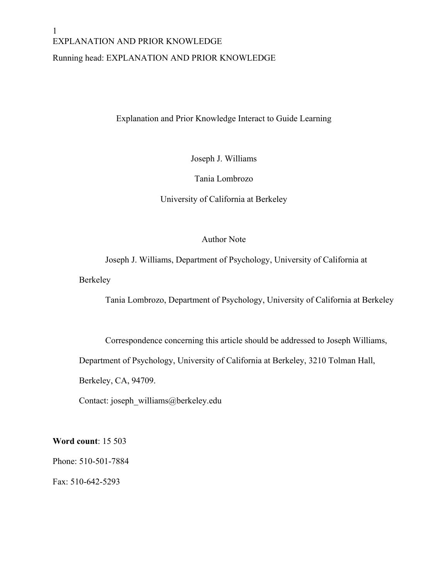Running head: EXPLANATION AND PRIOR KNOWLEDGE

Explanation and Prior Knowledge Interact to Guide Learning

Joseph J. Williams

Tania Lombrozo

University of California at Berkeley

# Author Note

Joseph J. Williams, Department of Psychology, University of California at

Berkeley

Tania Lombrozo, Department of Psychology, University of California at Berkeley

Correspondence concerning this article should be addressed to Joseph Williams,

Department of Psychology, University of California at Berkeley, 3210 Tolman Hall,

Berkeley, CA, 94709.

Contact: joseph\_williams@berkeley.edu

**Word count**: 15 503

Phone: 510-501-7884

Fax: 510-642-5293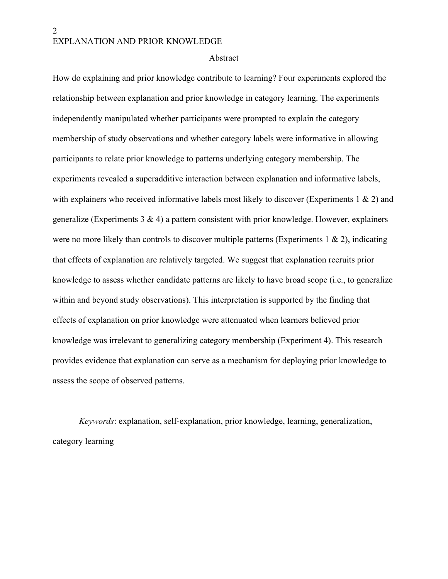#### Abstract

How do explaining and prior knowledge contribute to learning? Four experiments explored the relationship between explanation and prior knowledge in category learning. The experiments independently manipulated whether participants were prompted to explain the category membership of study observations and whether category labels were informative in allowing participants to relate prior knowledge to patterns underlying category membership. The experiments revealed a superadditive interaction between explanation and informative labels, with explainers who received informative labels most likely to discover (Experiments  $1 \& 2$ ) and generalize (Experiments  $3 \& 4$ ) a pattern consistent with prior knowledge. However, explainers were no more likely than controls to discover multiple patterns (Experiments 1  $\&$  2), indicating that effects of explanation are relatively targeted. We suggest that explanation recruits prior knowledge to assess whether candidate patterns are likely to have broad scope (i.e., to generalize within and beyond study observations). This interpretation is supported by the finding that effects of explanation on prior knowledge were attenuated when learners believed prior knowledge was irrelevant to generalizing category membership (Experiment 4). This research provides evidence that explanation can serve as a mechanism for deploying prior knowledge to assess the scope of observed patterns.

*Keywords*: explanation, self-explanation, prior knowledge, learning, generalization, category learning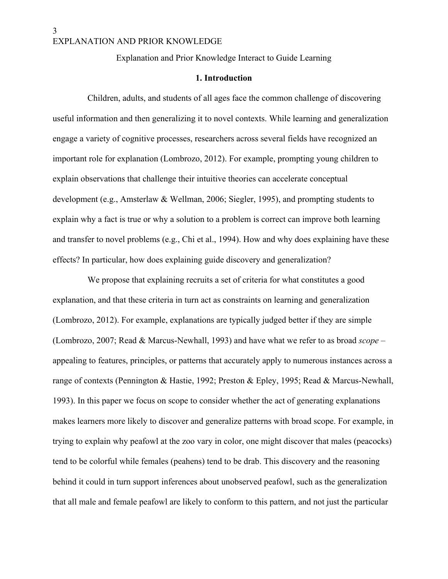Explanation and Prior Knowledge Interact to Guide Learning

## **1. Introduction**

Children, adults, and students of all ages face the common challenge of discovering useful information and then generalizing it to novel contexts. While learning and generalization engage a variety of cognitive processes, researchers across several fields have recognized an important role for explanation (Lombrozo, 2012). For example, prompting young children to explain observations that challenge their intuitive theories can accelerate conceptual development (e.g., Amsterlaw & Wellman, 2006; Siegler, 1995), and prompting students to explain why a fact is true or why a solution to a problem is correct can improve both learning and transfer to novel problems (e.g., Chi et al., 1994). How and why does explaining have these effects? In particular, how does explaining guide discovery and generalization?

We propose that explaining recruits a set of criteria for what constitutes a good explanation, and that these criteria in turn act as constraints on learning and generalization (Lombrozo, 2012). For example, explanations are typically judged better if they are simple (Lombrozo, 2007; Read & Marcus-Newhall, 1993) and have what we refer to as broad *scope* – appealing to features, principles, or patterns that accurately apply to numerous instances across a range of contexts (Pennington & Hastie, 1992; Preston & Epley, 1995; Read & Marcus-Newhall, 1993). In this paper we focus on scope to consider whether the act of generating explanations makes learners more likely to discover and generalize patterns with broad scope. For example, in trying to explain why peafowl at the zoo vary in color, one might discover that males (peacocks) tend to be colorful while females (peahens) tend to be drab. This discovery and the reasoning behind it could in turn support inferences about unobserved peafowl, such as the generalization that all male and female peafowl are likely to conform to this pattern, and not just the particular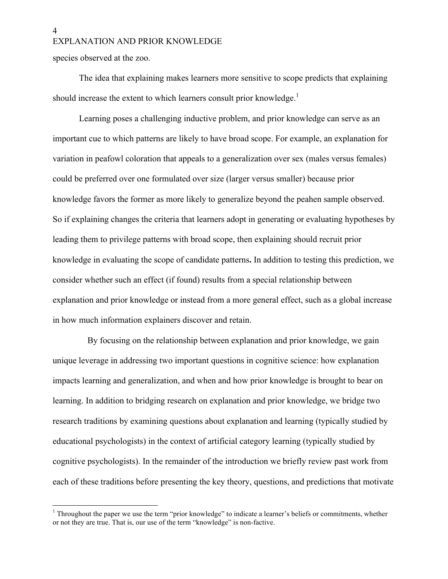species observed at the zoo.

4

The idea that explaining makes learners more sensitive to scope predicts that explaining should increase the extent to which learners consult prior knowledge.<sup>1</sup>

Learning poses a challenging inductive problem, and prior knowledge can serve as an important cue to which patterns are likely to have broad scope. For example, an explanation for variation in peafowl coloration that appeals to a generalization over sex (males versus females) could be preferred over one formulated over size (larger versus smaller) because prior knowledge favors the former as more likely to generalize beyond the peahen sample observed. So if explaining changes the criteria that learners adopt in generating or evaluating hypotheses by leading them to privilege patterns with broad scope, then explaining should recruit prior knowledge in evaluating the scope of candidate patterns**.** In addition to testing this prediction, we consider whether such an effect (if found) results from a special relationship between explanation and prior knowledge or instead from a more general effect, such as a global increase in how much information explainers discover and retain.

By focusing on the relationship between explanation and prior knowledge, we gain unique leverage in addressing two important questions in cognitive science: how explanation impacts learning and generalization, and when and how prior knowledge is brought to bear on learning. In addition to bridging research on explanation and prior knowledge, we bridge two research traditions by examining questions about explanation and learning (typically studied by educational psychologists) in the context of artificial category learning (typically studied by cognitive psychologists). In the remainder of the introduction we briefly review past work from each of these traditions before presenting the key theory, questions, and predictions that motivate

<sup>&</sup>lt;sup>1</sup> Throughout the paper we use the term "prior knowledge" to indicate a learner's beliefs or commitments, whether or not they are true. That is, our use of the term "knowledge" is non-factive.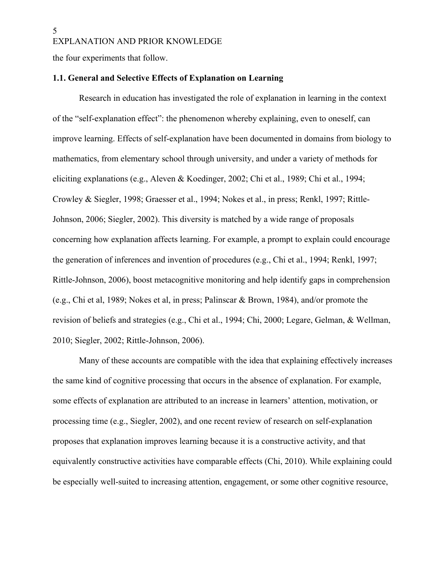## EXPLANATION AND PRIOR KNOWLEDGE

the four experiments that follow.

## **1.1. General and Selective Effects of Explanation on Learning**

Research in education has investigated the role of explanation in learning in the context of the "self-explanation effect": the phenomenon whereby explaining, even to oneself, can improve learning. Effects of self-explanation have been documented in domains from biology to mathematics, from elementary school through university, and under a variety of methods for eliciting explanations (e.g., Aleven & Koedinger, 2002; Chi et al., 1989; Chi et al., 1994; Crowley & Siegler, 1998; Graesser et al., 1994; Nokes et al., in press; Renkl, 1997; Rittle-Johnson, 2006; Siegler, 2002). This diversity is matched by a wide range of proposals concerning how explanation affects learning. For example, a prompt to explain could encourage the generation of inferences and invention of procedures (e.g., Chi et al., 1994; Renkl, 1997; Rittle-Johnson, 2006), boost metacognitive monitoring and help identify gaps in comprehension (e.g., Chi et al, 1989; Nokes et al, in press; Palinscar & Brown, 1984), and/or promote the revision of beliefs and strategies (e.g., Chi et al., 1994; Chi, 2000; Legare, Gelman, & Wellman, 2010; Siegler, 2002; Rittle-Johnson, 2006).

Many of these accounts are compatible with the idea that explaining effectively increases the same kind of cognitive processing that occurs in the absence of explanation. For example, some effects of explanation are attributed to an increase in learners' attention, motivation, or processing time (e.g., Siegler, 2002), and one recent review of research on self-explanation proposes that explanation improves learning because it is a constructive activity, and that equivalently constructive activities have comparable effects (Chi, 2010). While explaining could be especially well-suited to increasing attention, engagement, or some other cognitive resource,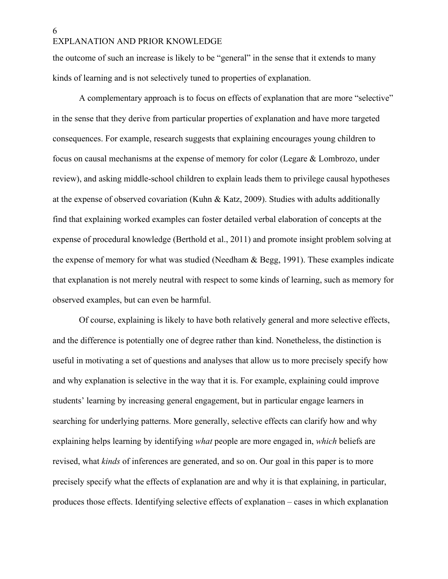# EXPLANATION AND PRIOR KNOWLEDGE

the outcome of such an increase is likely to be "general" in the sense that it extends to many kinds of learning and is not selectively tuned to properties of explanation.

A complementary approach is to focus on effects of explanation that are more "selective" in the sense that they derive from particular properties of explanation and have more targeted consequences. For example, research suggests that explaining encourages young children to focus on causal mechanisms at the expense of memory for color (Legare & Lombrozo, under review), and asking middle-school children to explain leads them to privilege causal hypotheses at the expense of observed covariation (Kuhn & Katz, 2009). Studies with adults additionally find that explaining worked examples can foster detailed verbal elaboration of concepts at the expense of procedural knowledge (Berthold et al., 2011) and promote insight problem solving at the expense of memory for what was studied (Needham & Begg, 1991). These examples indicate that explanation is not merely neutral with respect to some kinds of learning, such as memory for observed examples, but can even be harmful.

Of course, explaining is likely to have both relatively general and more selective effects, and the difference is potentially one of degree rather than kind. Nonetheless, the distinction is useful in motivating a set of questions and analyses that allow us to more precisely specify how and why explanation is selective in the way that it is. For example, explaining could improve students' learning by increasing general engagement, but in particular engage learners in searching for underlying patterns. More generally, selective effects can clarify how and why explaining helps learning by identifying *what* people are more engaged in, *which* beliefs are revised, what *kinds* of inferences are generated, and so on. Our goal in this paper is to more precisely specify what the effects of explanation are and why it is that explaining, in particular, produces those effects. Identifying selective effects of explanation – cases in which explanation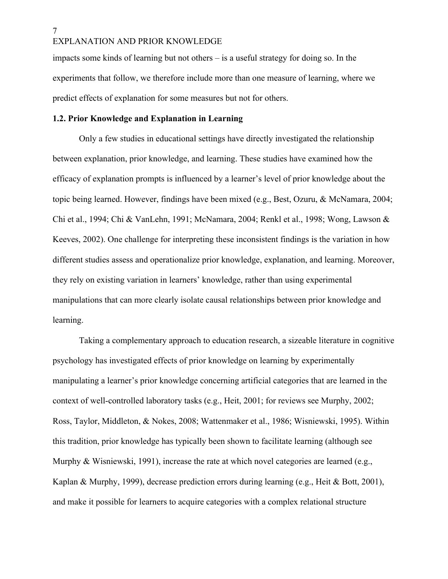impacts some kinds of learning but not others – is a useful strategy for doing so. In the experiments that follow, we therefore include more than one measure of learning, where we predict effects of explanation for some measures but not for others.

## **1.2. Prior Knowledge and Explanation in Learning**

Only a few studies in educational settings have directly investigated the relationship between explanation, prior knowledge, and learning. These studies have examined how the efficacy of explanation prompts is influenced by a learner's level of prior knowledge about the topic being learned. However, findings have been mixed (e.g., Best, Ozuru, & McNamara, 2004; Chi et al., 1994; Chi & VanLehn, 1991; McNamara, 2004; Renkl et al., 1998; Wong, Lawson & Keeves, 2002). One challenge for interpreting these inconsistent findings is the variation in how different studies assess and operationalize prior knowledge, explanation, and learning. Moreover, they rely on existing variation in learners' knowledge, rather than using experimental manipulations that can more clearly isolate causal relationships between prior knowledge and learning.

Taking a complementary approach to education research, a sizeable literature in cognitive psychology has investigated effects of prior knowledge on learning by experimentally manipulating a learner's prior knowledge concerning artificial categories that are learned in the context of well-controlled laboratory tasks (e.g., Heit, 2001; for reviews see Murphy, 2002; Ross, Taylor, Middleton, & Nokes, 2008; Wattenmaker et al., 1986; Wisniewski, 1995). Within this tradition, prior knowledge has typically been shown to facilitate learning (although see Murphy & Wisniewski, 1991), increase the rate at which novel categories are learned (e.g., Kaplan & Murphy, 1999), decrease prediction errors during learning (e.g., Heit & Bott, 2001), and make it possible for learners to acquire categories with a complex relational structure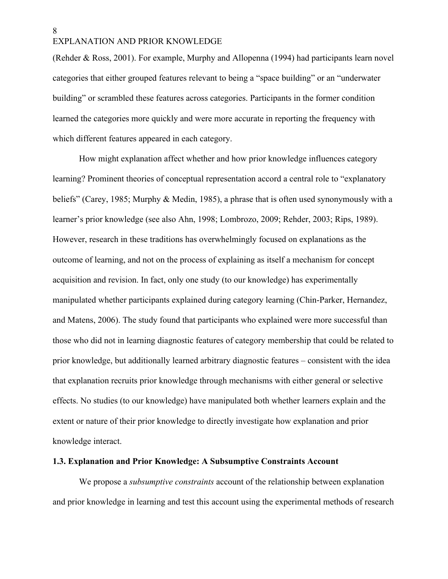(Rehder & Ross, 2001). For example, Murphy and Allopenna (1994) had participants learn novel categories that either grouped features relevant to being a "space building" or an "underwater building" or scrambled these features across categories. Participants in the former condition learned the categories more quickly and were more accurate in reporting the frequency with which different features appeared in each category.

How might explanation affect whether and how prior knowledge influences category learning? Prominent theories of conceptual representation accord a central role to "explanatory beliefs" (Carey, 1985; Murphy & Medin, 1985), a phrase that is often used synonymously with a learner's prior knowledge (see also Ahn, 1998; Lombrozo, 2009; Rehder, 2003; Rips, 1989). However, research in these traditions has overwhelmingly focused on explanations as the outcome of learning, and not on the process of explaining as itself a mechanism for concept acquisition and revision. In fact, only one study (to our knowledge) has experimentally manipulated whether participants explained during category learning (Chin-Parker, Hernandez, and Matens, 2006). The study found that participants who explained were more successful than those who did not in learning diagnostic features of category membership that could be related to prior knowledge, but additionally learned arbitrary diagnostic features – consistent with the idea that explanation recruits prior knowledge through mechanisms with either general or selective effects. No studies (to our knowledge) have manipulated both whether learners explain and the extent or nature of their prior knowledge to directly investigate how explanation and prior knowledge interact.

#### **1.3. Explanation and Prior Knowledge: A Subsumptive Constraints Account**

We propose a *subsumptive constraints* account of the relationship between explanation and prior knowledge in learning and test this account using the experimental methods of research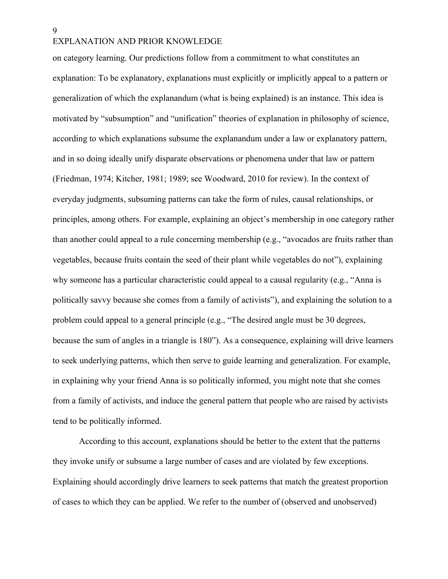on category learning. Our predictions follow from a commitment to what constitutes an explanation: To be explanatory, explanations must explicitly or implicitly appeal to a pattern or generalization of which the explanandum (what is being explained) is an instance. This idea is motivated by "subsumption" and "unification" theories of explanation in philosophy of science, according to which explanations subsume the explanandum under a law or explanatory pattern, and in so doing ideally unify disparate observations or phenomena under that law or pattern (Friedman, 1974; Kitcher, 1981; 1989; see Woodward, 2010 for review). In the context of everyday judgments, subsuming patterns can take the form of rules, causal relationships, or principles, among others. For example, explaining an object's membership in one category rather than another could appeal to a rule concerning membership (e.g., "avocados are fruits rather than vegetables, because fruits contain the seed of their plant while vegetables do not"), explaining why someone has a particular characteristic could appeal to a causal regularity (e.g., "Anna is politically savvy because she comes from a family of activists"), and explaining the solution to a problem could appeal to a general principle (e.g., "The desired angle must be 30 degrees, because the sum of angles in a triangle is 180"). As a consequence, explaining will drive learners to seek underlying patterns, which then serve to guide learning and generalization. For example, in explaining why your friend Anna is so politically informed, you might note that she comes from a family of activists, and induce the general pattern that people who are raised by activists tend to be politically informed.

According to this account, explanations should be better to the extent that the patterns they invoke unify or subsume a large number of cases and are violated by few exceptions. Explaining should accordingly drive learners to seek patterns that match the greatest proportion of cases to which they can be applied. We refer to the number of (observed and unobserved)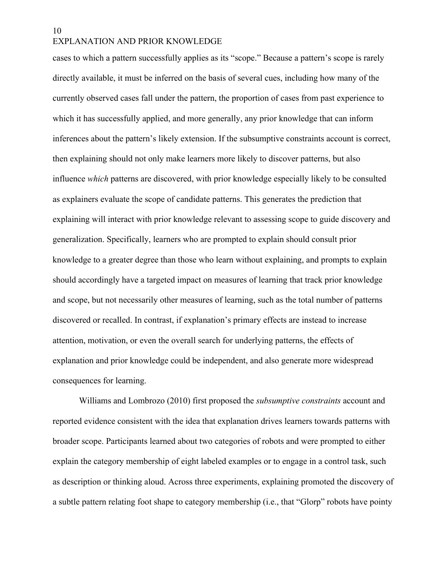cases to which a pattern successfully applies as its "scope." Because a pattern's scope is rarely directly available, it must be inferred on the basis of several cues, including how many of the currently observed cases fall under the pattern, the proportion of cases from past experience to which it has successfully applied, and more generally, any prior knowledge that can inform inferences about the pattern's likely extension. If the subsumptive constraints account is correct, then explaining should not only make learners more likely to discover patterns, but also influence *which* patterns are discovered, with prior knowledge especially likely to be consulted as explainers evaluate the scope of candidate patterns. This generates the prediction that explaining will interact with prior knowledge relevant to assessing scope to guide discovery and generalization. Specifically, learners who are prompted to explain should consult prior knowledge to a greater degree than those who learn without explaining, and prompts to explain should accordingly have a targeted impact on measures of learning that track prior knowledge and scope, but not necessarily other measures of learning, such as the total number of patterns discovered or recalled. In contrast, if explanation's primary effects are instead to increase attention, motivation, or even the overall search for underlying patterns, the effects of explanation and prior knowledge could be independent, and also generate more widespread consequences for learning.

Williams and Lombrozo (2010) first proposed the *subsumptive constraints* account and reported evidence consistent with the idea that explanation drives learners towards patterns with broader scope. Participants learned about two categories of robots and were prompted to either explain the category membership of eight labeled examples or to engage in a control task, such as description or thinking aloud. Across three experiments, explaining promoted the discovery of a subtle pattern relating foot shape to category membership (i.e., that "Glorp" robots have pointy

<sup>10</sup>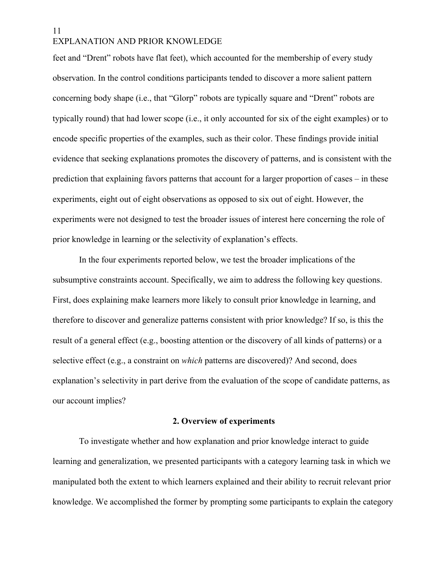feet and "Drent" robots have flat feet), which accounted for the membership of every study observation. In the control conditions participants tended to discover a more salient pattern concerning body shape (i.e., that "Glorp" robots are typically square and "Drent" robots are typically round) that had lower scope (i.e., it only accounted for six of the eight examples) or to encode specific properties of the examples, such as their color. These findings provide initial evidence that seeking explanations promotes the discovery of patterns, and is consistent with the prediction that explaining favors patterns that account for a larger proportion of cases – in these experiments, eight out of eight observations as opposed to six out of eight. However, the experiments were not designed to test the broader issues of interest here concerning the role of prior knowledge in learning or the selectivity of explanation's effects.

In the four experiments reported below, we test the broader implications of the subsumptive constraints account. Specifically, we aim to address the following key questions. First, does explaining make learners more likely to consult prior knowledge in learning, and therefore to discover and generalize patterns consistent with prior knowledge? If so, is this the result of a general effect (e.g., boosting attention or the discovery of all kinds of patterns) or a selective effect (e.g., a constraint on *which* patterns are discovered)? And second, does explanation's selectivity in part derive from the evaluation of the scope of candidate patterns, as our account implies?

## **2. Overview of experiments**

To investigate whether and how explanation and prior knowledge interact to guide learning and generalization, we presented participants with a category learning task in which we manipulated both the extent to which learners explained and their ability to recruit relevant prior knowledge. We accomplished the former by prompting some participants to explain the category

11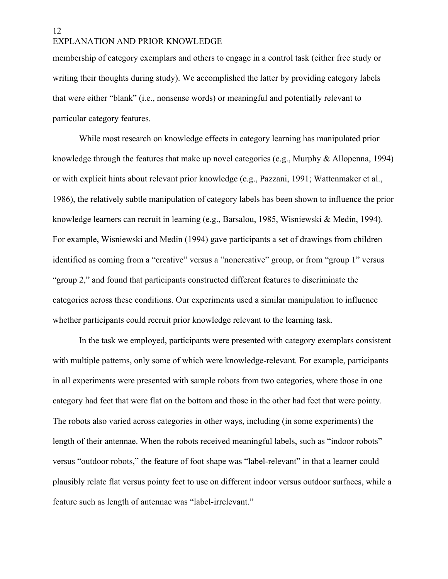membership of category exemplars and others to engage in a control task (either free study or writing their thoughts during study). We accomplished the latter by providing category labels that were either "blank" (i.e., nonsense words) or meaningful and potentially relevant to particular category features.

While most research on knowledge effects in category learning has manipulated prior knowledge through the features that make up novel categories (e.g., Murphy & Allopenna, 1994) or with explicit hints about relevant prior knowledge (e.g., Pazzani, 1991; Wattenmaker et al., 1986), the relatively subtle manipulation of category labels has been shown to influence the prior knowledge learners can recruit in learning (e.g., Barsalou, 1985, Wisniewski & Medin, 1994). For example, Wisniewski and Medin (1994) gave participants a set of drawings from children identified as coming from a "creative" versus a "noncreative" group, or from "group 1" versus "group 2," and found that participants constructed different features to discriminate the categories across these conditions. Our experiments used a similar manipulation to influence whether participants could recruit prior knowledge relevant to the learning task.

In the task we employed, participants were presented with category exemplars consistent with multiple patterns, only some of which were knowledge-relevant. For example, participants in all experiments were presented with sample robots from two categories, where those in one category had feet that were flat on the bottom and those in the other had feet that were pointy. The robots also varied across categories in other ways, including (in some experiments) the length of their antennae. When the robots received meaningful labels, such as "indoor robots" versus "outdoor robots," the feature of foot shape was "label-relevant" in that a learner could plausibly relate flat versus pointy feet to use on different indoor versus outdoor surfaces, while a feature such as length of antennae was "label-irrelevant."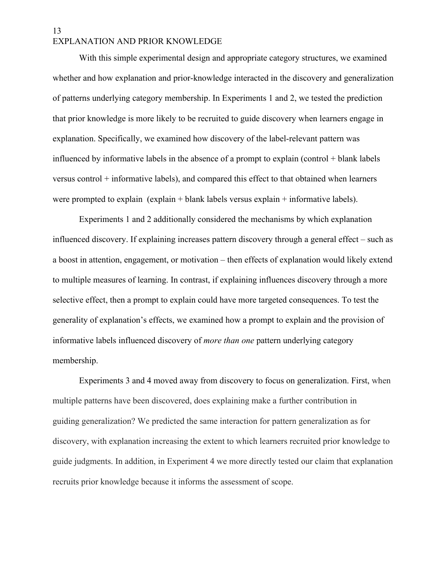13

With this simple experimental design and appropriate category structures, we examined whether and how explanation and prior-knowledge interacted in the discovery and generalization of patterns underlying category membership. In Experiments 1 and 2, we tested the prediction that prior knowledge is more likely to be recruited to guide discovery when learners engage in explanation. Specifically, we examined how discovery of the label-relevant pattern was influenced by informative labels in the absence of a prompt to explain (control  $+$  blank labels versus control  $+$  informative labels), and compared this effect to that obtained when learners were prompted to explain (explain + blank labels versus explain + informative labels).

Experiments 1 and 2 additionally considered the mechanisms by which explanation influenced discovery. If explaining increases pattern discovery through a general effect – such as a boost in attention, engagement, or motivation – then effects of explanation would likely extend to multiple measures of learning. In contrast, if explaining influences discovery through a more selective effect, then a prompt to explain could have more targeted consequences. To test the generality of explanation's effects, we examined how a prompt to explain and the provision of informative labels influenced discovery of *more than one* pattern underlying category membership.

Experiments 3 and 4 moved away from discovery to focus on generalization. First, when multiple patterns have been discovered, does explaining make a further contribution in guiding generalization? We predicted the same interaction for pattern generalization as for discovery, with explanation increasing the extent to which learners recruited prior knowledge to guide judgments. In addition, in Experiment 4 we more directly tested our claim that explanation recruits prior knowledge because it informs the assessment of scope.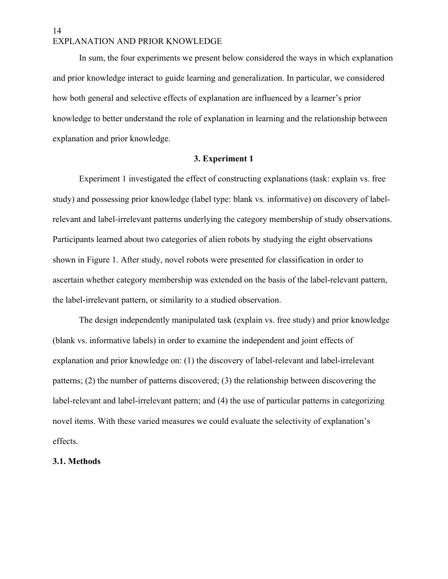In sum, the four experiments we present below considered the ways in which explanation and prior knowledge interact to guide learning and generalization. In particular, we considered how both general and selective effects of explanation are influenced by a learner's prior knowledge to better understand the role of explanation in learning and the relationship between explanation and prior knowledge.

### **3. Experiment 1**

Experiment 1 investigated the effect of constructing explanations (task: explain vs. free study) and possessing prior knowledge (label type: blank vs. informative) on discovery of labelrelevant and label-irrelevant patterns underlying the category membership of study observations. Participants learned about two categories of alien robots by studying the eight observations shown in Figure 1. After study, novel robots were presented for classification in order to ascertain whether category membership was extended on the basis of the label-relevant pattern, the label-irrelevant pattern, or similarity to a studied observation.

The design independently manipulated task (explain vs. free study) and prior knowledge (blank vs. informative labels) in order to examine the independent and joint effects of explanation and prior knowledge on: (1) the discovery of label-relevant and label-irrelevant patterns; (2) the number of patterns discovered; (3) the relationship between discovering the label-relevant and label-irrelevant pattern; and (4) the use of particular patterns in categorizing novel items. With these varied measures we could evaluate the selectivity of explanation's effects.

#### **3.1. Methods**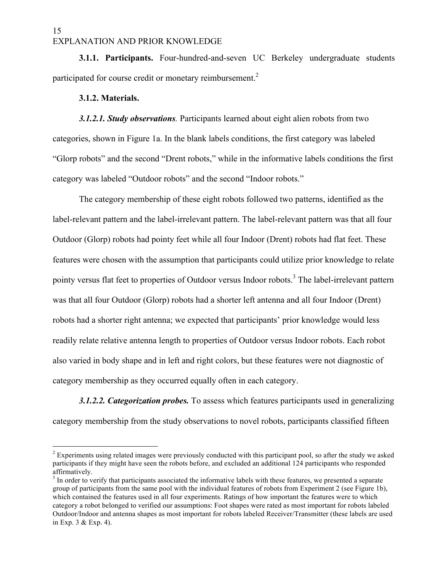**3.1.1. Participants.** Four-hundred-and-seven UC Berkeley undergraduate students participated for course credit or monetary reimbursement.<sup>2</sup>

#### **3.1.2. Materials.**

*3.1.2.1. Study observations.* Participants learned about eight alien robots from two categories, shown in Figure 1a. In the blank labels conditions, the first category was labeled "Glorp robots" and the second "Drent robots," while in the informative labels conditions the first category was labeled "Outdoor robots" and the second "Indoor robots."

The category membership of these eight robots followed two patterns, identified as the label-relevant pattern and the label-irrelevant pattern. The label-relevant pattern was that all four Outdoor (Glorp) robots had pointy feet while all four Indoor (Drent) robots had flat feet. These features were chosen with the assumption that participants could utilize prior knowledge to relate pointy versus flat feet to properties of Outdoor versus Indoor robots.<sup>3</sup> The label-irrelevant pattern was that all four Outdoor (Glorp) robots had a shorter left antenna and all four Indoor (Drent) robots had a shorter right antenna; we expected that participants' prior knowledge would less readily relate relative antenna length to properties of Outdoor versus Indoor robots. Each robot also varied in body shape and in left and right colors, but these features were not diagnostic of category membership as they occurred equally often in each category.

*3.1.2.2. Categorization probes.* To assess which features participants used in generalizing category membership from the study observations to novel robots, participants classified fifteen

 $2^2$  Experiments using related images were previously conducted with this participant pool, so after the study we asked participants if they might have seen the robots before, and excluded an additional 124 participants who responded affirmatively.

<sup>&</sup>lt;sup>3</sup> In order to verify that participants associated the informative labels with these features, we presented a separate group of participants from the same pool with the individual features of robots from Experiment 2 (see Figure 1b), which contained the features used in all four experiments. Ratings of how important the features were to which category a robot belonged to verified our assumptions: Foot shapes were rated as most important for robots labeled Outdoor/Indoor and antenna shapes as most important for robots labeled Receiver/Transmitter (these labels are used in Exp. 3 & Exp. 4).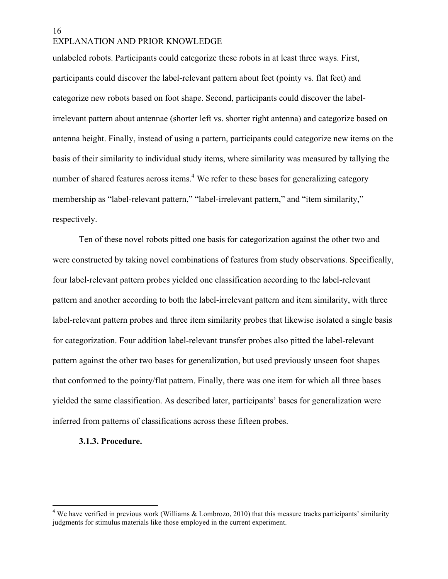unlabeled robots. Participants could categorize these robots in at least three ways. First, participants could discover the label-relevant pattern about feet (pointy vs. flat feet) and categorize new robots based on foot shape. Second, participants could discover the labelirrelevant pattern about antennae (shorter left vs. shorter right antenna) and categorize based on antenna height. Finally, instead of using a pattern, participants could categorize new items on the basis of their similarity to individual study items, where similarity was measured by tallying the number of shared features across items.<sup>4</sup> We refer to these bases for generalizing category membership as "label-relevant pattern," "label-irrelevant pattern," and "item similarity," respectively.

Ten of these novel robots pitted one basis for categorization against the other two and were constructed by taking novel combinations of features from study observations. Specifically, four label-relevant pattern probes yielded one classification according to the label-relevant pattern and another according to both the label-irrelevant pattern and item similarity, with three label-relevant pattern probes and three item similarity probes that likewise isolated a single basis for categorization. Four addition label-relevant transfer probes also pitted the label-relevant pattern against the other two bases for generalization, but used previously unseen foot shapes that conformed to the pointy/flat pattern. Finally, there was one item for which all three bases yielded the same classification. As described later, participants' bases for generalization were inferred from patterns of classifications across these fifteen probes.

## **3.1.3. Procedure.**

<sup>&</sup>lt;sup>4</sup> We have verified in previous work (Williams  $&$  Lombrozo, 2010) that this measure tracks participants' similarity judgments for stimulus materials like those employed in the current experiment.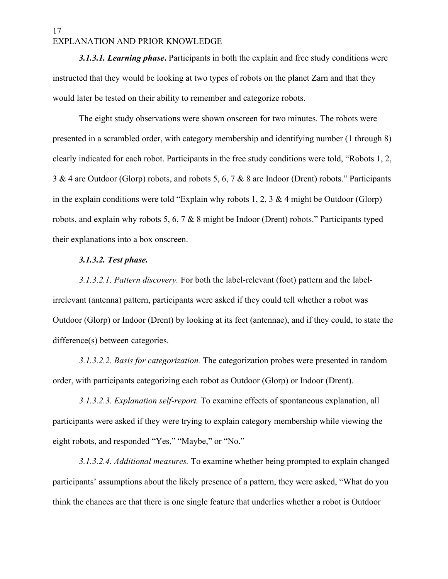17

*3.1.3.1. Learning phase***.** Participants in both the explain and free study conditions were instructed that they would be looking at two types of robots on the planet Zarn and that they would later be tested on their ability to remember and categorize robots.

The eight study observations were shown onscreen for two minutes. The robots were presented in a scrambled order, with category membership and identifying number (1 through 8) clearly indicated for each robot. Participants in the free study conditions were told, "Robots 1, 2, 3 & 4 are Outdoor (Glorp) robots, and robots 5, 6, 7 & 8 are Indoor (Drent) robots." Participants in the explain conditions were told "Explain why robots 1, 2, 3  $\&$  4 might be Outdoor (Glorp) robots, and explain why robots 5, 6, 7 & 8 might be Indoor (Drent) robots." Participants typed their explanations into a box onscreen.

## *3.1.3.2. Test phase.*

*3.1.3.2.1. Pattern discovery.* For both the label-relevant (foot) pattern and the labelirrelevant (antenna) pattern, participants were asked if they could tell whether a robot was Outdoor (Glorp) or Indoor (Drent) by looking at its feet (antennae), and if they could, to state the difference(s) between categories.

*3.1.3.2.2. Basis for categorization.* The categorization probes were presented in random order, with participants categorizing each robot as Outdoor (Glorp) or Indoor (Drent).

*3.1.3.2.3. Explanation self-report.* To examine effects of spontaneous explanation, all participants were asked if they were trying to explain category membership while viewing the eight robots, and responded "Yes," "Maybe," or "No."

*3.1.3.2.4. Additional measures.* To examine whether being prompted to explain changed participants' assumptions about the likely presence of a pattern, they were asked, "What do you think the chances are that there is one single feature that underlies whether a robot is Outdoor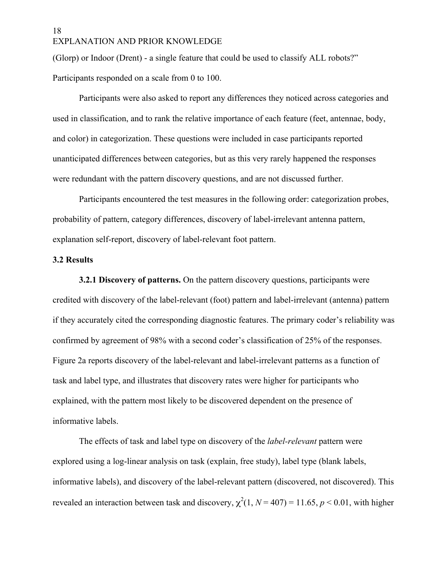## EXPLANATION AND PRIOR KNOWLEDGE

(Glorp) or Indoor (Drent) - a single feature that could be used to classify ALL robots?" Participants responded on a scale from 0 to 100.

Participants were also asked to report any differences they noticed across categories and used in classification, and to rank the relative importance of each feature (feet, antennae, body,

and color) in categorization. These questions were included in case participants reported unanticipated differences between categories, but as this very rarely happened the responses were redundant with the pattern discovery questions, and are not discussed further.

Participants encountered the test measures in the following order: categorization probes, probability of pattern, category differences, discovery of label-irrelevant antenna pattern, explanation self-report, discovery of label-relevant foot pattern.

## **3.2 Results**

**3.2.1 Discovery of patterns.** On the pattern discovery questions, participants were credited with discovery of the label-relevant (foot) pattern and label-irrelevant (antenna) pattern if they accurately cited the corresponding diagnostic features. The primary coder's reliability was confirmed by agreement of 98% with a second coder's classification of 25% of the responses. Figure 2a reports discovery of the label-relevant and label-irrelevant patterns as a function of task and label type, and illustrates that discovery rates were higher for participants who explained, with the pattern most likely to be discovered dependent on the presence of informative labels.

The effects of task and label type on discovery of the *label-relevant* pattern were explored using a log-linear analysis on task (explain, free study), label type (blank labels, informative labels), and discovery of the label-relevant pattern (discovered, not discovered). This revealed an interaction between task and discovery,  $\chi^2(1, N = 407) = 11.65, p \lt 0.01$ , with higher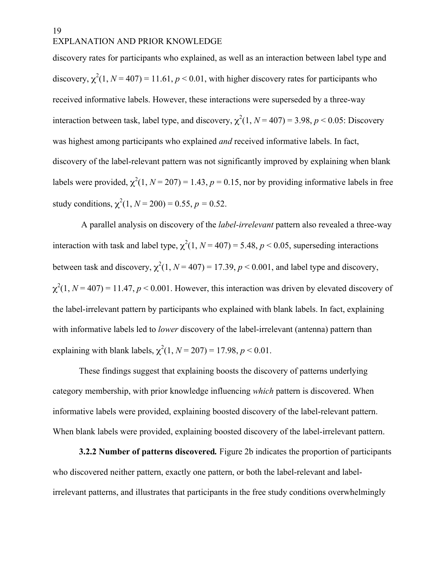19

discovery rates for participants who explained, as well as an interaction between label type and discovery,  $\chi^2(1, N = 407) = 11.61, p < 0.01$ , with higher discovery rates for participants who received informative labels. However, these interactions were superseded by a three-way interaction between task, label type, and discovery,  $\chi^2(1, N = 407) = 3.98$ ,  $p < 0.05$ : Discovery was highest among participants who explained *and* received informative labels. In fact, discovery of the label-relevant pattern was not significantly improved by explaining when blank labels were provided,  $\chi^2(1, N = 207) = 1.43$ ,  $p = 0.15$ , nor by providing informative labels in free study conditions,  $\chi^2(1, N = 200) = 0.55, p = 0.52$ .

A parallel analysis on discovery of the *label-irrelevant* pattern also revealed a three-way interaction with task and label type,  $\chi^2(1, N = 407) = 5.48$ ,  $p < 0.05$ , superseding interactions between task and discovery,  $\chi^2(1, N = 407) = 17.39$ ,  $p < 0.001$ , and label type and discovery,  $\chi^2(1, N = 407) = 11.47, p < 0.001$ . However, this interaction was driven by elevated discovery of the label-irrelevant pattern by participants who explained with blank labels. In fact, explaining with informative labels led to *lower* discovery of the label-irrelevant (antenna) pattern than explaining with blank labels,  $\chi^2(1, N = 207) = 17.98, p < 0.01$ .

These findings suggest that explaining boosts the discovery of patterns underlying category membership, with prior knowledge influencing *which* pattern is discovered. When informative labels were provided, explaining boosted discovery of the label-relevant pattern. When blank labels were provided, explaining boosted discovery of the label-irrelevant pattern.

**3.2.2 Number of patterns discovered***.* Figure 2b indicates the proportion of participants who discovered neither pattern, exactly one pattern, or both the label-relevant and labelirrelevant patterns, and illustrates that participants in the free study conditions overwhelmingly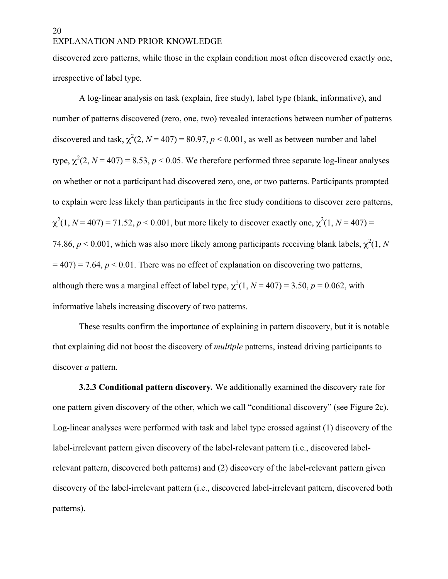discovered zero patterns, while those in the explain condition most often discovered exactly one, irrespective of label type.

A log-linear analysis on task (explain, free study), label type (blank, informative), and number of patterns discovered (zero, one, two) revealed interactions between number of patterns discovered and task,  $\chi^2(2, N = 407) = 80.97, p < 0.001$ , as well as between number and label type,  $\chi^2(2, N = 407) = 8.53, p < 0.05$ . We therefore performed three separate log-linear analyses on whether or not a participant had discovered zero, one, or two patterns. Participants prompted to explain were less likely than participants in the free study conditions to discover zero patterns,  $\chi^2(1, N = 407) = 71.52, p < 0.001$ , but more likely to discover exactly one,  $\chi^2(1, N = 407) =$ 74.86,  $p < 0.001$ , which was also more likely among participants receiving blank labels,  $\chi^2(1, N)$  $= 407$ ) = 7.64,  $p \le 0.01$ . There was no effect of explanation on discovering two patterns, although there was a marginal effect of label type,  $\chi^2(1, N = 407) = 3.50, p = 0.062$ , with informative labels increasing discovery of two patterns.

These results confirm the importance of explaining in pattern discovery, but it is notable that explaining did not boost the discovery of *multiple* patterns, instead driving participants to discover *a* pattern.

**3.2.3 Conditional pattern discovery***.* We additionally examined the discovery rate for one pattern given discovery of the other, which we call "conditional discovery" (see Figure 2c). Log-linear analyses were performed with task and label type crossed against (1) discovery of the label-irrelevant pattern given discovery of the label-relevant pattern (i.e., discovered labelrelevant pattern, discovered both patterns) and (2) discovery of the label-relevant pattern given discovery of the label-irrelevant pattern (i.e., discovered label-irrelevant pattern, discovered both patterns).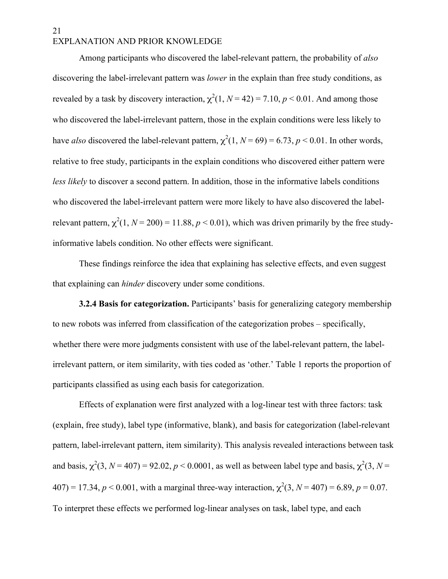21

Among participants who discovered the label-relevant pattern, the probability of *also*  discovering the label-irrelevant pattern was *lower* in the explain than free study conditions, as revealed by a task by discovery interaction,  $\chi^2(1, N = 42) = 7.10, p < 0.01$ . And among those who discovered the label-irrelevant pattern, those in the explain conditions were less likely to have *also* discovered the label-relevant pattern,  $\chi^2(1, N = 69) = 6.73, p < 0.01$ . In other words, relative to free study, participants in the explain conditions who discovered either pattern were *less likely* to discover a second pattern. In addition, those in the informative labels conditions who discovered the label-irrelevant pattern were more likely to have also discovered the labelrelevant pattern,  $\chi^2(1, N = 200) = 11.88, p < 0.01$ ), which was driven primarily by the free studyinformative labels condition. No other effects were significant.

These findings reinforce the idea that explaining has selective effects, and even suggest that explaining can *hinder* discovery under some conditions.

**3.2.4 Basis for categorization.** Participants' basis for generalizing category membership to new robots was inferred from classification of the categorization probes – specifically, whether there were more judgments consistent with use of the label-relevant pattern, the labelirrelevant pattern, or item similarity, with ties coded as 'other.' Table 1 reports the proportion of participants classified as using each basis for categorization.

Effects of explanation were first analyzed with a log-linear test with three factors: task (explain, free study), label type (informative, blank), and basis for categorization (label-relevant pattern, label-irrelevant pattern, item similarity). This analysis revealed interactions between task and basis,  $\chi^2(3, N = 407) = 92.02, p < 0.0001$ , as well as between label type and basis,  $\chi^2(3, N = 1)$  $407$ ) = 17.34,  $p < 0.001$ , with a marginal three-way interaction,  $\chi^2(3, N = 407) = 6.89$ ,  $p = 0.07$ . To interpret these effects we performed log-linear analyses on task, label type, and each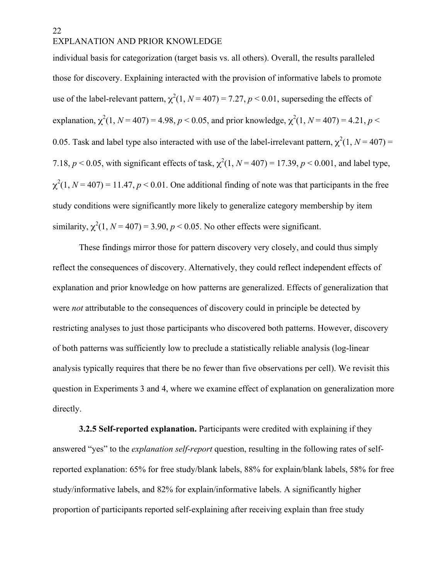individual basis for categorization (target basis vs. all others). Overall, the results paralleled those for discovery. Explaining interacted with the provision of informative labels to promote use of the label-relevant pattern,  $\chi^2(1, N = 407) = 7.27, p < 0.01$ , superseding the effects of explanation,  $\chi^2(1, N = 407) = 4.98$ ,  $p < 0.05$ , and prior knowledge,  $\chi^2(1, N = 407) = 4.21$ ,  $p <$ 0.05. Task and label type also interacted with use of the label-irrelevant pattern,  $\chi^2(1, N = 407)$  = 7.18,  $p < 0.05$ , with significant effects of task,  $\chi^2(1, N = 407) = 17.39$ ,  $p < 0.001$ , and label type,  $\chi^2(1, N = 407) = 11.47, p < 0.01$ . One additional finding of note was that participants in the free study conditions were significantly more likely to generalize category membership by item similarity,  $\chi^2(1, N = 407) = 3.90, p < 0.05$ . No other effects were significant.

These findings mirror those for pattern discovery very closely, and could thus simply reflect the consequences of discovery. Alternatively, they could reflect independent effects of explanation and prior knowledge on how patterns are generalized. Effects of generalization that were *not* attributable to the consequences of discovery could in principle be detected by restricting analyses to just those participants who discovered both patterns. However, discovery of both patterns was sufficiently low to preclude a statistically reliable analysis (log-linear analysis typically requires that there be no fewer than five observations per cell). We revisit this question in Experiments 3 and 4, where we examine effect of explanation on generalization more directly.

**3.2.5 Self-reported explanation.** Participants were credited with explaining if they answered "yes" to the *explanation self-report* question, resulting in the following rates of selfreported explanation: 65% for free study/blank labels, 88% for explain/blank labels, 58% for free study/informative labels, and 82% for explain/informative labels. A significantly higher proportion of participants reported self-explaining after receiving explain than free study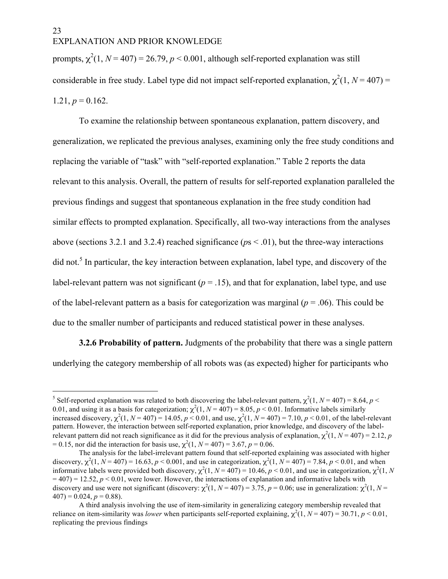prompts,  $\chi^2(1, N = 407) = 26.79$ ,  $p < 0.001$ , although self-reported explanation was still considerable in free study. Label type did not impact self-reported explanation,  $\chi^2(1, N = 407)$  =  $1.21, p = 0.162.$ 

To examine the relationship between spontaneous explanation, pattern discovery, and generalization, we replicated the previous analyses, examining only the free study conditions and replacing the variable of "task" with "self-reported explanation." Table 2 reports the data relevant to this analysis. Overall, the pattern of results for self-reported explanation paralleled the previous findings and suggest that spontaneous explanation in the free study condition had similar effects to prompted explanation. Specifically, all two-way interactions from the analyses above (sections 3.2.1 and 3.2.4) reached significance ( $ps < .01$ ), but the three-way interactions did not.<sup>5</sup> In particular, the key interaction between explanation, label type, and discovery of the label-relevant pattern was not significant ( $p = .15$ ), and that for explanation, label type, and use of the label-relevant pattern as a basis for categorization was marginal (*p* = .06). This could be due to the smaller number of participants and reduced statistical power in these analyses.

**3.2.6 Probability of pattern.** Judgments of the probability that there was a single pattern underlying the category membership of all robots was (as expected) higher for participants who

<sup>&</sup>lt;sup>5</sup> Self-reported explanation was related to both discovering the label-relevant pattern,  $\chi^2(1, N = 407) = 8.64$ ,  $p <$ 0.01, and using it as a basis for categorization;  $\chi^2(1, N = 407) = 8.05, p < 0.01$ . Informative labels similarly increased discovery,  $\chi^2(1, N = 407) = 14.05$ ,  $p < 0.01$ , and use,  $\chi^2(1, N = 407) = 7.10$ ,  $p < 0.01$ , of the label-relevant pattern. However, the interaction between self-reported explanation, prior knowledge, and discovery of the labelrelevant pattern did not reach significance as it did for the previous analysis of explanation,  $\chi^2(1, N = 407) = 2.12$ , p  $= 0.15$ , nor did the interaction for basis use,  $\chi^2(1, N = 407) = 3.67$ ,  $p = 0.06$ .

The analysis for the label-irrelevant pattern found that self-reported explaining was associated with higher discovery,  $\chi^2(1, N = 407) = 16.63$ ,  $p < 0.001$ , and use in categorization,  $\chi^2(1, N = 407) = 7.84$ ,  $p < 0.01$ , and when informative labels were provided both discovery,  $\chi^2(1, N = 407) = 10.46$ ,  $p < 0.01$ , and use in categorization,  $\chi^2(1, N)$  $= 407$ ) = 12.52,  $p < 0.01$ , were lower. However, the interactions of explanation and informative labels with discovery and use were not significant (discovery:  $\chi^2(1, N = 407) = 3.75$ ,  $p = 0.06$ ; use in generalization:  $\chi^2(1, N = 100)$  $407$ ) = 0.024,  $p = 0.88$ ).

A third analysis involving the use of item-similarity in generalizing category membership revealed that reliance on item-similarity was *lower* when participants self-reported explaining,  $\chi^2(1, N = 407) = 30.71$ ,  $p < 0.01$ , replicating the previous findings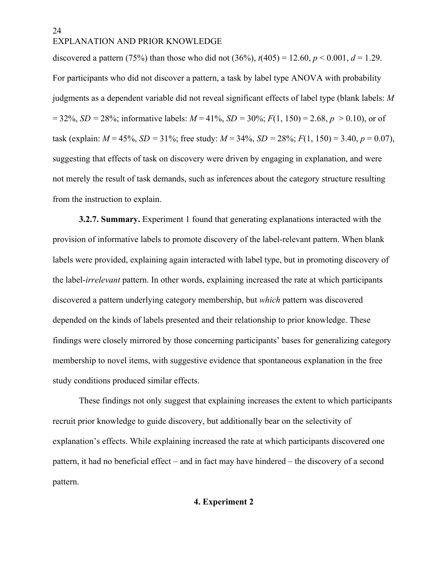discovered a pattern (75%) than those who did not (36%),  $t(405) = 12.60, p < 0.001, d = 1.29$ . For participants who did not discover a pattern, a task by label type ANOVA with probability judgments as a dependent variable did not reveal significant effects of label type (blank labels: *M* = 32%, *SD =* 28%; informative labels: *M* = 41%, *SD =* 30%; *F*(1, 150) = 2.68, *p* > 0.10), or of task (explain:  $M = 45\%$ ,  $SD = 31\%$ ; free study:  $M = 34\%$ ,  $SD = 28\%$ ;  $F(1, 150) = 3.40$ ,  $p = 0.07$ ), suggesting that effects of task on discovery were driven by engaging in explanation, and were not merely the result of task demands, such as inferences about the category structure resulting from the instruction to explain.

**3.2.7. Summary.** Experiment 1 found that generating explanations interacted with the provision of informative labels to promote discovery of the label-relevant pattern. When blank labels were provided, explaining again interacted with label type, but in promoting discovery of the label-*irrelevant* pattern. In other words, explaining increased the rate at which participants discovered a pattern underlying category membership, but *which* pattern was discovered depended on the kinds of labels presented and their relationship to prior knowledge. These findings were closely mirrored by those concerning participants' bases for generalizing category membership to novel items, with suggestive evidence that spontaneous explanation in the free study conditions produced similar effects.

These findings not only suggest that explaining increases the extent to which participants recruit prior knowledge to guide discovery, but additionally bear on the selectivity of explanation's effects. While explaining increased the rate at which participants discovered one pattern, it had no beneficial effect – and in fact may have hindered – the discovery of a second pattern.

## **4. Experiment 2**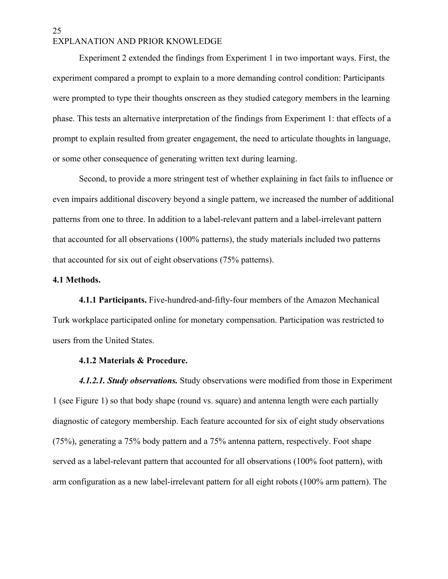Experiment 2 extended the findings from Experiment 1 in two important ways. First, the experiment compared a prompt to explain to a more demanding control condition: Participants were prompted to type their thoughts onscreen as they studied category members in the learning phase. This tests an alternative interpretation of the findings from Experiment 1: that effects of a prompt to explain resulted from greater engagement, the need to articulate thoughts in language, or some other consequence of generating written text during learning.

Second, to provide a more stringent test of whether explaining in fact fails to influence or even impairs additional discovery beyond a single pattern, we increased the number of additional patterns from one to three. In addition to a label-relevant pattern and a label-irrelevant pattern that accounted for all observations (100% patterns), the study materials included two patterns that accounted for six out of eight observations (75% patterns).

#### **4.1 Methods.**

25

**4.1.1 Participants.** Five-hundred-and-fifty-four members of the Amazon Mechanical Turk workplace participated online for monetary compensation. Participation was restricted to users from the United States.

## **4.1.2 Materials & Procedure.**

*4.1.2.1. Study observations.* Study observations were modified from those in Experiment 1 (see Figure 1) so that body shape (round vs. square) and antenna length were each partially diagnostic of category membership. Each feature accounted for six of eight study observations (75%), generating a 75% body pattern and a 75% antenna pattern, respectively. Foot shape served as a label-relevant pattern that accounted for all observations (100% foot pattern), with arm configuration as a new label-irrelevant pattern for all eight robots (100% arm pattern). The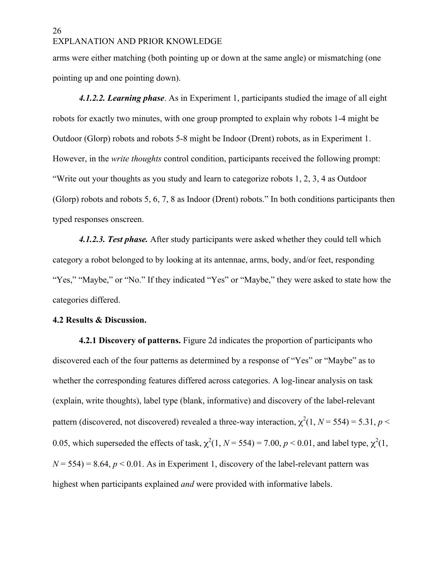arms were either matching (both pointing up or down at the same angle) or mismatching (one pointing up and one pointing down).

*4.1.2.2. Learning phase*. As in Experiment 1, participants studied the image of all eight robots for exactly two minutes, with one group prompted to explain why robots 1-4 might be Outdoor (Glorp) robots and robots 5-8 might be Indoor (Drent) robots, as in Experiment 1. However, in the *write thoughts* control condition, participants received the following prompt: "Write out your thoughts as you study and learn to categorize robots 1, 2, 3, 4 as Outdoor (Glorp) robots and robots 5, 6, 7, 8 as Indoor (Drent) robots." In both conditions participants then typed responses onscreen.

*4.1.2.3. Test phase.* After study participants were asked whether they could tell which category a robot belonged to by looking at its antennae, arms, body, and/or feet, responding "Yes," "Maybe," or "No." If they indicated "Yes" or "Maybe," they were asked to state how the categories differed.

#### **4.2 Results & Discussion.**

**4.2.1 Discovery of patterns.** Figure 2d indicates the proportion of participants who discovered each of the four patterns as determined by a response of "Yes" or "Maybe" as to whether the corresponding features differed across categories. A log-linear analysis on task (explain, write thoughts), label type (blank, informative) and discovery of the label-relevant pattern (discovered, not discovered) revealed a three-way interaction,  $\chi^2(1, N = 554) = 5.31, p <$ 0.05, which superseded the effects of task,  $\chi^2(1, N = 554) = 7.00, p < 0.01$ , and label type,  $\chi^2(1, N = 554)$  $N = 554$ ) = 8.64,  $p < 0.01$ . As in Experiment 1, discovery of the label-relevant pattern was highest when participants explained *and* were provided with informative labels.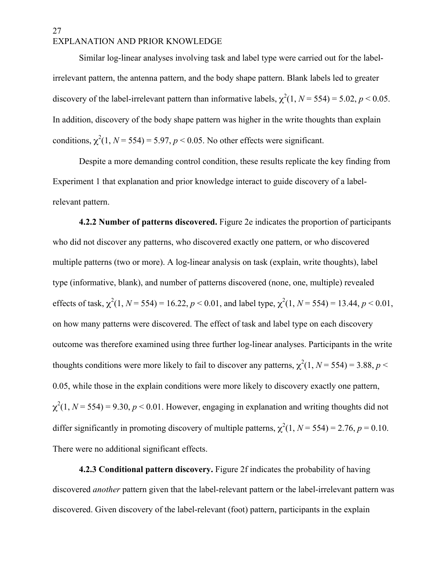27

Similar log-linear analyses involving task and label type were carried out for the labelirrelevant pattern, the antenna pattern, and the body shape pattern. Blank labels led to greater discovery of the label-irrelevant pattern than informative labels,  $\chi^2(1, N = 554) = 5.02, p < 0.05$ . In addition, discovery of the body shape pattern was higher in the write thoughts than explain conditions,  $\chi^2(1, N = 554) = 5.97$ ,  $p < 0.05$ . No other effects were significant.

Despite a more demanding control condition, these results replicate the key finding from Experiment 1 that explanation and prior knowledge interact to guide discovery of a labelrelevant pattern.

**4.2.2 Number of patterns discovered.** Figure 2e indicates the proportion of participants who did not discover any patterns, who discovered exactly one pattern, or who discovered multiple patterns (two or more). A log-linear analysis on task (explain, write thoughts), label type (informative, blank), and number of patterns discovered (none, one, multiple) revealed effects of task,  $\chi^2(1, N = 554) = 16.22, p < 0.01$ , and label type,  $\chi^2(1, N = 554) = 13.44, p < 0.01$ , on how many patterns were discovered. The effect of task and label type on each discovery outcome was therefore examined using three further log-linear analyses. Participants in the write thoughts conditions were more likely to fail to discover any patterns,  $\chi^2(1, N = 554) = 3.88$ ,  $p <$ 0.05, while those in the explain conditions were more likely to discovery exactly one pattern,  $\chi^2(1, N = 554) = 9.30, p < 0.01$ . However, engaging in explanation and writing thoughts did not differ significantly in promoting discovery of multiple patterns,  $\chi^2(1, N = 554) = 2.76$ ,  $p = 0.10$ . There were no additional significant effects.

**4.2.3 Conditional pattern discovery.** Figure 2f indicates the probability of having discovered *another* pattern given that the label-relevant pattern or the label-irrelevant pattern was discovered. Given discovery of the label-relevant (foot) pattern, participants in the explain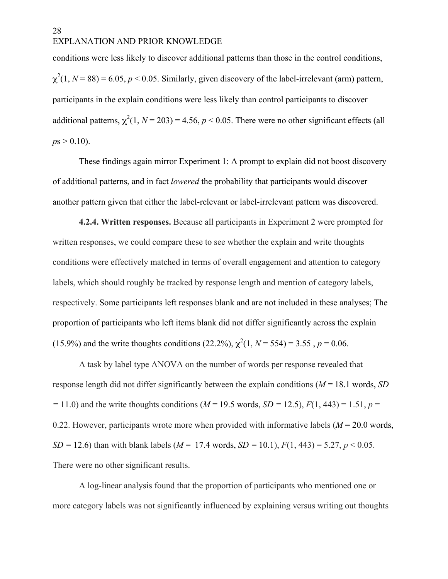conditions were less likely to discover additional patterns than those in the control conditions,  $\chi^2(1, N = 88) = 6.05, p < 0.05$ . Similarly, given discovery of the label-irrelevant (arm) pattern, participants in the explain conditions were less likely than control participants to discover additional patterns,  $\chi^2(1, N = 203) = 4.56$ ,  $p < 0.05$ . There were no other significant effects (all  $p s > 0.10$ ).

These findings again mirror Experiment 1: A prompt to explain did not boost discovery of additional patterns, and in fact *lowered* the probability that participants would discover another pattern given that either the label-relevant or label-irrelevant pattern was discovered.

**4.2.4. Written responses.** Because all participants in Experiment 2 were prompted for written responses, we could compare these to see whether the explain and write thoughts conditions were effectively matched in terms of overall engagement and attention to category labels, which should roughly be tracked by response length and mention of category labels, respectively. Some participants left responses blank and are not included in these analyses; The proportion of participants who left items blank did not differ significantly across the explain (15.9%) and the write thoughts conditions (22.2%),  $\chi^2(1, N = 554) = 3.55$ ,  $p = 0.06$ .

A task by label type ANOVA on the number of words per response revealed that response length did not differ significantly between the explain conditions (*M* = 18.1 words, *SD*   $=$  11.0) and the write thoughts conditions ( $M = 19.5$  words,  $SD = 12.5$ ),  $F(1, 443) = 1.51$ ,  $p =$ 0.22. However, participants wrote more when provided with informative labels  $(M = 20.0 \text{ words},$ *SD* = 12.6) than with blank labels ( $M = 17.4$  words,  $SD = 10.1$ ),  $F(1, 443) = 5.27$ ,  $p < 0.05$ . There were no other significant results.

A log-linear analysis found that the proportion of participants who mentioned one or more category labels was not significantly influenced by explaining versus writing out thoughts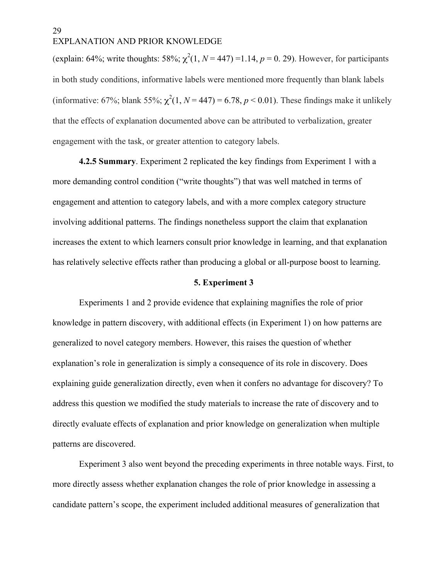29

(explain: 64%; write thoughts: 58%;  $\chi^2(1, N = 447) = 1.14, p = 0.29$ ). However, for participants in both study conditions, informative labels were mentioned more frequently than blank labels (informative: 67%; blank 55%;  $\chi^2(1, N = 447) = 6.78$ ,  $p < 0.01$ ). These findings make it unlikely that the effects of explanation documented above can be attributed to verbalization, greater engagement with the task, or greater attention to category labels.

**4.2.5 Summary**. Experiment 2 replicated the key findings from Experiment 1 with a more demanding control condition ("write thoughts") that was well matched in terms of engagement and attention to category labels, and with a more complex category structure involving additional patterns. The findings nonetheless support the claim that explanation increases the extent to which learners consult prior knowledge in learning, and that explanation has relatively selective effects rather than producing a global or all-purpose boost to learning.

#### **5. Experiment 3**

Experiments 1 and 2 provide evidence that explaining magnifies the role of prior knowledge in pattern discovery, with additional effects (in Experiment 1) on how patterns are generalized to novel category members. However, this raises the question of whether explanation's role in generalization is simply a consequence of its role in discovery. Does explaining guide generalization directly, even when it confers no advantage for discovery? To address this question we modified the study materials to increase the rate of discovery and to directly evaluate effects of explanation and prior knowledge on generalization when multiple patterns are discovered.

Experiment 3 also went beyond the preceding experiments in three notable ways. First, to more directly assess whether explanation changes the role of prior knowledge in assessing a candidate pattern's scope, the experiment included additional measures of generalization that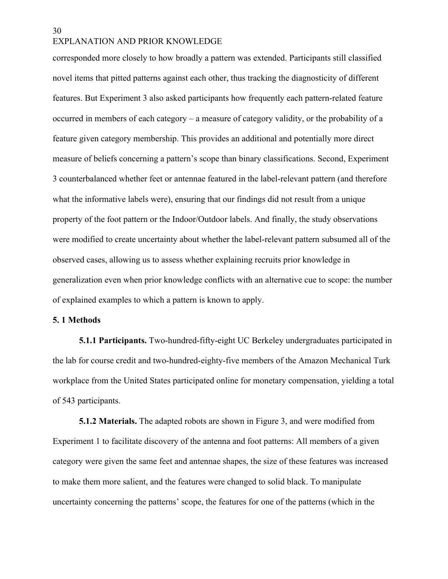corresponded more closely to how broadly a pattern was extended. Participants still classified novel items that pitted patterns against each other, thus tracking the diagnosticity of different features. But Experiment 3 also asked participants how frequently each pattern-related feature occurred in members of each category – a measure of category validity, or the probability of a feature given category membership. This provides an additional and potentially more direct measure of beliefs concerning a pattern's scope than binary classifications. Second, Experiment 3 counterbalanced whether feet or antennae featured in the label-relevant pattern (and therefore what the informative labels were), ensuring that our findings did not result from a unique property of the foot pattern or the Indoor/Outdoor labels. And finally, the study observations were modified to create uncertainty about whether the label-relevant pattern subsumed all of the observed cases, allowing us to assess whether explaining recruits prior knowledge in generalization even when prior knowledge conflicts with an alternative cue to scope: the number of explained examples to which a pattern is known to apply.

#### **5. 1 Methods**

30

**5.1.1 Participants.** Two-hundred-fifty-eight UC Berkeley undergraduates participated in the lab for course credit and two-hundred-eighty-five members of the Amazon Mechanical Turk workplace from the United States participated online for monetary compensation, yielding a total of 543 participants.

**5.1.2 Materials.** The adapted robots are shown in Figure 3, and were modified from Experiment 1 to facilitate discovery of the antenna and foot patterns: All members of a given category were given the same feet and antennae shapes, the size of these features was increased to make them more salient, and the features were changed to solid black. To manipulate uncertainty concerning the patterns' scope, the features for one of the patterns (which in the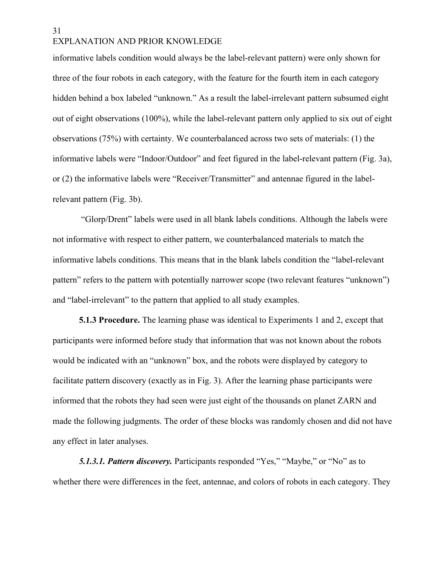informative labels condition would always be the label-relevant pattern) were only shown for three of the four robots in each category, with the feature for the fourth item in each category hidden behind a box labeled "unknown." As a result the label-irrelevant pattern subsumed eight out of eight observations (100%), while the label-relevant pattern only applied to six out of eight observations (75%) with certainty. We counterbalanced across two sets of materials: (1) the informative labels were "Indoor/Outdoor" and feet figured in the label-relevant pattern (Fig. 3a), or (2) the informative labels were "Receiver/Transmitter" and antennae figured in the labelrelevant pattern (Fig. 3b).

"Glorp/Drent" labels were used in all blank labels conditions. Although the labels were not informative with respect to either pattern, we counterbalanced materials to match the informative labels conditions. This means that in the blank labels condition the "label-relevant pattern" refers to the pattern with potentially narrower scope (two relevant features "unknown") and "label-irrelevant" to the pattern that applied to all study examples.

**5.1.3 Procedure.** The learning phase was identical to Experiments 1 and 2, except that participants were informed before study that information that was not known about the robots would be indicated with an "unknown" box, and the robots were displayed by category to facilitate pattern discovery (exactly as in Fig. 3). After the learning phase participants were informed that the robots they had seen were just eight of the thousands on planet ZARN and made the following judgments. The order of these blocks was randomly chosen and did not have any effect in later analyses.

*5.1.3.1. Pattern discovery.* Participants responded "Yes," "Maybe," or "No" as to whether there were differences in the feet, antennae, and colors of robots in each category. They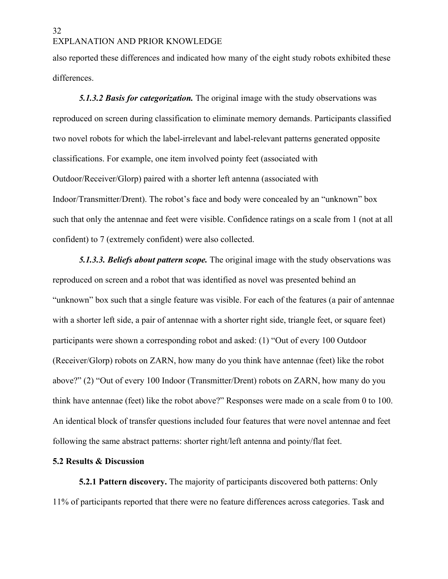also reported these differences and indicated how many of the eight study robots exhibited these differences.

*5.1.3.2 Basis for categorization.* The original image with the study observations was reproduced on screen during classification to eliminate memory demands. Participants classified two novel robots for which the label-irrelevant and label-relevant patterns generated opposite classifications. For example, one item involved pointy feet (associated with Outdoor/Receiver/Glorp) paired with a shorter left antenna (associated with Indoor/Transmitter/Drent). The robot's face and body were concealed by an "unknown" box such that only the antennae and feet were visible. Confidence ratings on a scale from 1 (not at all confident) to 7 (extremely confident) were also collected.

*5.1.3.3. Beliefs about pattern scope.* The original image with the study observations was reproduced on screen and a robot that was identified as novel was presented behind an "unknown" box such that a single feature was visible. For each of the features (a pair of antennae with a shorter left side, a pair of antennae with a shorter right side, triangle feet, or square feet) participants were shown a corresponding robot and asked: (1) "Out of every 100 Outdoor (Receiver/Glorp) robots on ZARN, how many do you think have antennae (feet) like the robot above?" (2) "Out of every 100 Indoor (Transmitter/Drent) robots on ZARN, how many do you think have antennae (feet) like the robot above?" Responses were made on a scale from 0 to 100. An identical block of transfer questions included four features that were novel antennae and feet following the same abstract patterns: shorter right/left antenna and pointy/flat feet.

## **5.2 Results & Discussion**

**5.2.1 Pattern discovery.** The majority of participants discovered both patterns: Only 11% of participants reported that there were no feature differences across categories. Task and

32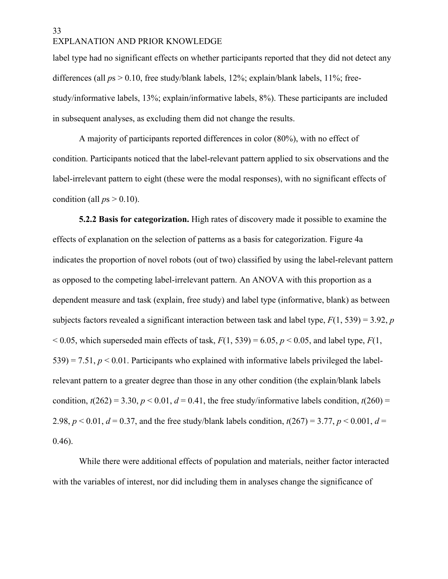label type had no significant effects on whether participants reported that they did not detect any differences (all  $ps > 0.10$ , free study/blank labels, 12%; explain/blank labels, 11%; freestudy/informative labels, 13%; explain/informative labels, 8%). These participants are included in subsequent analyses, as excluding them did not change the results.

A majority of participants reported differences in color (80%), with no effect of condition. Participants noticed that the label-relevant pattern applied to six observations and the label-irrelevant pattern to eight (these were the modal responses), with no significant effects of condition (all  $ps > 0.10$ ).

**5.2.2 Basis for categorization.** High rates of discovery made it possible to examine the effects of explanation on the selection of patterns as a basis for categorization. Figure 4a indicates the proportion of novel robots (out of two) classified by using the label-relevant pattern as opposed to the competing label-irrelevant pattern. An ANOVA with this proportion as a dependent measure and task (explain, free study) and label type (informative, blank) as between subjects factors revealed a significant interaction between task and label type,  $F(1, 539) = 3.92$ , *p*  $<$  0.05, which superseded main effects of task,  $F(1, 539) = 6.05$ ,  $p < 0.05$ , and label type,  $F(1, 539) = 6.05$  $(539) = 7.51, p < 0.01$ . Participants who explained with informative labels privileged the labelrelevant pattern to a greater degree than those in any other condition (the explain/blank labels condition,  $t(262) = 3.30$ ,  $p < 0.01$ ,  $d = 0.41$ , the free study/informative labels condition,  $t(260) =$ 2.98,  $p < 0.01$ ,  $d = 0.37$ , and the free study/blank labels condition,  $t(267) = 3.77$ ,  $p < 0.001$ ,  $d =$ 0.46).

While there were additional effects of population and materials, neither factor interacted with the variables of interest, nor did including them in analyses change the significance of

33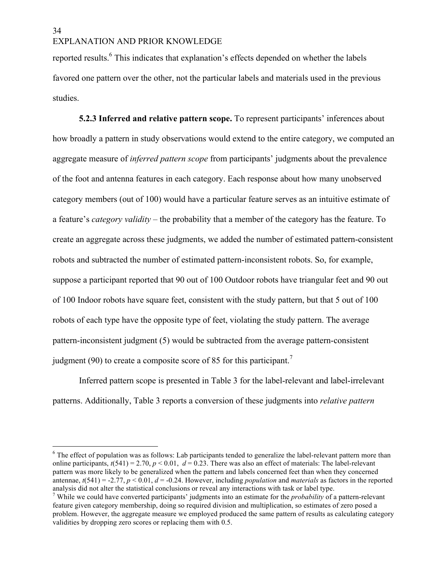reported results.<sup>6</sup> This indicates that explanation's effects depended on whether the labels favored one pattern over the other, not the particular labels and materials used in the previous studies.

**5.2.3 Inferred and relative pattern scope.** To represent participants' inferences about how broadly a pattern in study observations would extend to the entire category, we computed an aggregate measure of *inferred pattern scope* from participants' judgments about the prevalence of the foot and antenna features in each category. Each response about how many unobserved category members (out of 100) would have a particular feature serves as an intuitive estimate of a feature's *category validity* – the probability that a member of the category has the feature. To create an aggregate across these judgments, we added the number of estimated pattern-consistent robots and subtracted the number of estimated pattern-inconsistent robots. So, for example, suppose a participant reported that 90 out of 100 Outdoor robots have triangular feet and 90 out of 100 Indoor robots have square feet, consistent with the study pattern, but that 5 out of 100 robots of each type have the opposite type of feet, violating the study pattern. The average pattern-inconsistent judgment (5) would be subtracted from the average pattern-consistent judgment (90) to create a composite score of 85 for this participant.<sup>7</sup>

Inferred pattern scope is presented in Table 3 for the label-relevant and label-irrelevant patterns. Additionally, Table 3 reports a conversion of these judgments into *relative pattern* 

<sup>&</sup>lt;sup>6</sup> The effect of population was as follows: Lab participants tended to generalize the label-relevant pattern more than online participants,  $t(541) = 2.70$ ,  $p < 0.01$ ,  $d = 0.23$ . There was also an effect of materials: The label-relevant pattern was more likely to be generalized when the pattern and labels concerned feet than when they concerned antennae,  $t(541) = -2.77$ ,  $p < 0.01$ ,  $d = -0.24$ . However, including *population* and *materials* as factors in the reported analysis did not alter the statistical conclusions or reveal any interactions with task or label type. <sup>7</sup> While we could have converted participants' judgments into an estimate for the *probability* of a pattern-relevant

feature given category membership, doing so required division and multiplication, so estimates of zero posed a problem. However, the aggregate measure we employed produced the same pattern of results as calculating category validities by dropping zero scores or replacing them with 0.5.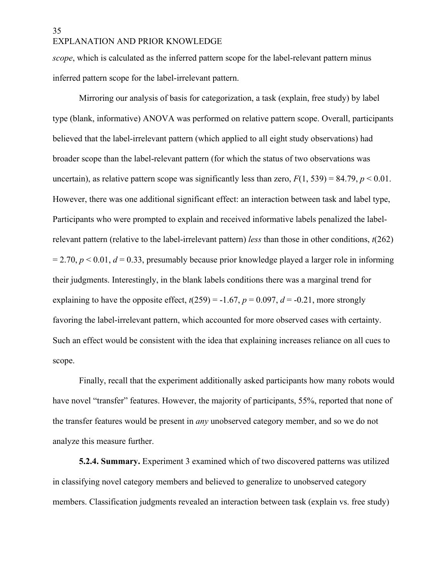*scope*, which is calculated as the inferred pattern scope for the label-relevant pattern minus inferred pattern scope for the label-irrelevant pattern.

Mirroring our analysis of basis for categorization, a task (explain, free study) by label type (blank, informative) ANOVA was performed on relative pattern scope. Overall, participants believed that the label-irrelevant pattern (which applied to all eight study observations) had broader scope than the label-relevant pattern (for which the status of two observations was uncertain), as relative pattern scope was significantly less than zero,  $F(1, 539) = 84.79$ ,  $p < 0.01$ . However, there was one additional significant effect: an interaction between task and label type, Participants who were prompted to explain and received informative labels penalized the labelrelevant pattern (relative to the label-irrelevant pattern) *less* than those in other conditions, *t*(262)  $= 2.70, p < 0.01, d = 0.33$ , presumably because prior knowledge played a larger role in informing their judgments. Interestingly, in the blank labels conditions there was a marginal trend for explaining to have the opposite effect,  $t(259) = -1.67$ ,  $p = 0.097$ ,  $d = -0.21$ , more strongly favoring the label-irrelevant pattern, which accounted for more observed cases with certainty. Such an effect would be consistent with the idea that explaining increases reliance on all cues to scope.

Finally, recall that the experiment additionally asked participants how many robots would have novel "transfer" features. However, the majority of participants, 55%, reported that none of the transfer features would be present in *any* unobserved category member, and so we do not analyze this measure further.

**5.2.4. Summary.** Experiment 3 examined which of two discovered patterns was utilized in classifying novel category members and believed to generalize to unobserved category members. Classification judgments revealed an interaction between task (explain vs. free study)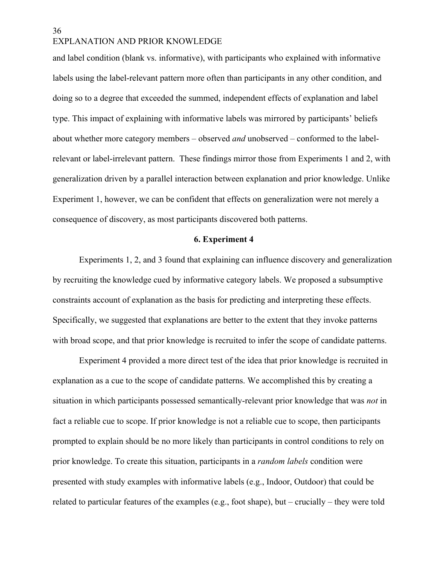and label condition (blank vs. informative), with participants who explained with informative labels using the label-relevant pattern more often than participants in any other condition, and doing so to a degree that exceeded the summed, independent effects of explanation and label type. This impact of explaining with informative labels was mirrored by participants' beliefs about whether more category members – observed *and* unobserved – conformed to the labelrelevant or label-irrelevant pattern. These findings mirror those from Experiments 1 and 2, with generalization driven by a parallel interaction between explanation and prior knowledge. Unlike Experiment 1, however, we can be confident that effects on generalization were not merely a consequence of discovery, as most participants discovered both patterns.

#### **6. Experiment 4**

Experiments 1, 2, and 3 found that explaining can influence discovery and generalization by recruiting the knowledge cued by informative category labels. We proposed a subsumptive constraints account of explanation as the basis for predicting and interpreting these effects. Specifically, we suggested that explanations are better to the extent that they invoke patterns with broad scope, and that prior knowledge is recruited to infer the scope of candidate patterns.

Experiment 4 provided a more direct test of the idea that prior knowledge is recruited in explanation as a cue to the scope of candidate patterns. We accomplished this by creating a situation in which participants possessed semantically-relevant prior knowledge that was *not* in fact a reliable cue to scope. If prior knowledge is not a reliable cue to scope, then participants prompted to explain should be no more likely than participants in control conditions to rely on prior knowledge. To create this situation, participants in a *random labels* condition were presented with study examples with informative labels (e.g., Indoor, Outdoor) that could be related to particular features of the examples (e.g., foot shape), but – crucially – they were told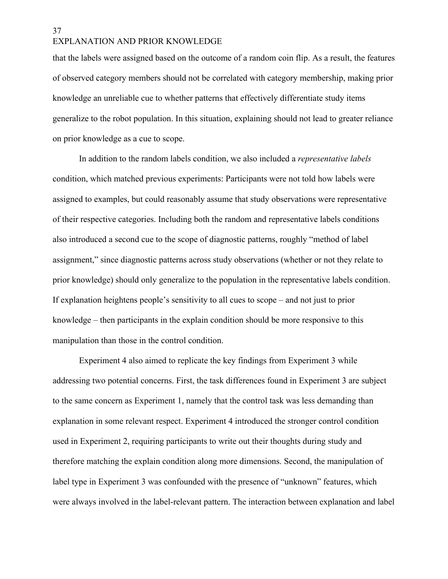37

that the labels were assigned based on the outcome of a random coin flip. As a result, the features of observed category members should not be correlated with category membership, making prior knowledge an unreliable cue to whether patterns that effectively differentiate study items generalize to the robot population. In this situation, explaining should not lead to greater reliance on prior knowledge as a cue to scope.

In addition to the random labels condition, we also included a *representative labels* condition, which matched previous experiments: Participants were not told how labels were assigned to examples, but could reasonably assume that study observations were representative of their respective categories. Including both the random and representative labels conditions also introduced a second cue to the scope of diagnostic patterns, roughly "method of label assignment," since diagnostic patterns across study observations (whether or not they relate to prior knowledge) should only generalize to the population in the representative labels condition. If explanation heightens people's sensitivity to all cues to scope – and not just to prior knowledge – then participants in the explain condition should be more responsive to this manipulation than those in the control condition.

Experiment 4 also aimed to replicate the key findings from Experiment 3 while addressing two potential concerns. First, the task differences found in Experiment 3 are subject to the same concern as Experiment 1, namely that the control task was less demanding than explanation in some relevant respect. Experiment 4 introduced the stronger control condition used in Experiment 2, requiring participants to write out their thoughts during study and therefore matching the explain condition along more dimensions. Second, the manipulation of label type in Experiment 3 was confounded with the presence of "unknown" features, which were always involved in the label-relevant pattern. The interaction between explanation and label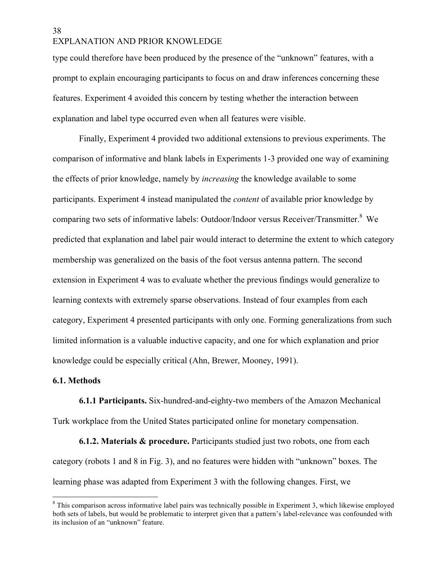type could therefore have been produced by the presence of the "unknown" features, with a prompt to explain encouraging participants to focus on and draw inferences concerning these features. Experiment 4 avoided this concern by testing whether the interaction between explanation and label type occurred even when all features were visible.

Finally, Experiment 4 provided two additional extensions to previous experiments. The comparison of informative and blank labels in Experiments 1-3 provided one way of examining the effects of prior knowledge, namely by *increasing* the knowledge available to some participants. Experiment 4 instead manipulated the *content* of available prior knowledge by comparing two sets of informative labels: Outdoor/Indoor versus Receiver/Transmitter.<sup>8</sup> We predicted that explanation and label pair would interact to determine the extent to which category membership was generalized on the basis of the foot versus antenna pattern. The second extension in Experiment 4 was to evaluate whether the previous findings would generalize to learning contexts with extremely sparse observations. Instead of four examples from each category, Experiment 4 presented participants with only one. Forming generalizations from such limited information is a valuable inductive capacity, and one for which explanation and prior knowledge could be especially critical (Ahn, Brewer, Mooney, 1991).

#### **6.1. Methods**

**6.1.1 Participants.** Six-hundred-and-eighty-two members of the Amazon Mechanical Turk workplace from the United States participated online for monetary compensation.

**6.1.2. Materials & procedure.** Participants studied just two robots, one from each category (robots 1 and 8 in Fig. 3), and no features were hidden with "unknown" boxes. The learning phase was adapted from Experiment 3 with the following changes. First, we

38

<sup>&</sup>lt;sup>8</sup> This comparison across informative label pairs was technically possible in Experiment 3, which likewise employed both sets of labels, but would be problematic to interpret given that a pattern's label-relevance was confounded with its inclusion of an "unknown" feature.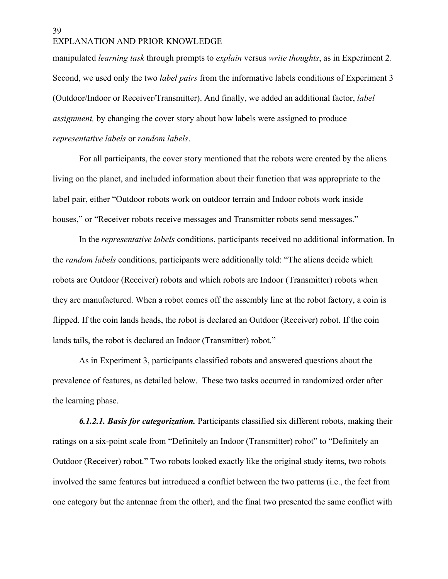manipulated *learning task* through prompts to *explain* versus *write thoughts*, as in Experiment 2*.* Second, we used only the two *label pairs* from the informative labels conditions of Experiment 3 (Outdoor/Indoor or Receiver/Transmitter). And finally, we added an additional factor, *label assignment,* by changing the cover story about how labels were assigned to produce *representative labels* or *random labels*.

For all participants, the cover story mentioned that the robots were created by the aliens living on the planet, and included information about their function that was appropriate to the label pair, either "Outdoor robots work on outdoor terrain and Indoor robots work inside houses," or "Receiver robots receive messages and Transmitter robots send messages."

In the *representative labels* conditions, participants received no additional information. In the *random labels* conditions, participants were additionally told: "The aliens decide which robots are Outdoor (Receiver) robots and which robots are Indoor (Transmitter) robots when they are manufactured. When a robot comes off the assembly line at the robot factory, a coin is flipped. If the coin lands heads, the robot is declared an Outdoor (Receiver) robot. If the coin lands tails, the robot is declared an Indoor (Transmitter) robot."

As in Experiment 3, participants classified robots and answered questions about the prevalence of features, as detailed below. These two tasks occurred in randomized order after the learning phase.

*6.1.2.1. Basis for categorization.* Participants classified six different robots, making their ratings on a six-point scale from "Definitely an Indoor (Transmitter) robot" to "Definitely an Outdoor (Receiver) robot." Two robots looked exactly like the original study items, two robots involved the same features but introduced a conflict between the two patterns (i.e., the feet from one category but the antennae from the other), and the final two presented the same conflict with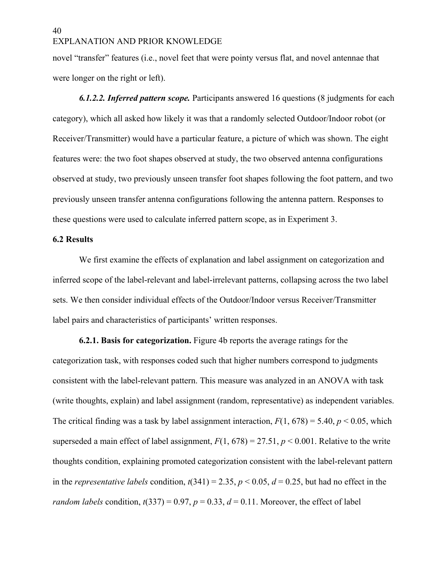novel "transfer" features (i.e., novel feet that were pointy versus flat, and novel antennae that were longer on the right or left).

*6.1.2.2. Inferred pattern scope.* Participants answered 16 questions (8 judgments for each category), which all asked how likely it was that a randomly selected Outdoor/Indoor robot (or Receiver/Transmitter) would have a particular feature, a picture of which was shown. The eight features were: the two foot shapes observed at study, the two observed antenna configurations observed at study, two previously unseen transfer foot shapes following the foot pattern, and two previously unseen transfer antenna configurations following the antenna pattern. Responses to these questions were used to calculate inferred pattern scope, as in Experiment 3.

## **6.2 Results**

We first examine the effects of explanation and label assignment on categorization and inferred scope of the label-relevant and label-irrelevant patterns, collapsing across the two label sets. We then consider individual effects of the Outdoor/Indoor versus Receiver/Transmitter label pairs and characteristics of participants' written responses.

**6.2.1. Basis for categorization.** Figure 4b reports the average ratings for the categorization task, with responses coded such that higher numbers correspond to judgments consistent with the label-relevant pattern. This measure was analyzed in an ANOVA with task (write thoughts, explain) and label assignment (random, representative) as independent variables. The critical finding was a task by label assignment interaction,  $F(1, 678) = 5.40$ ,  $p < 0.05$ , which superseded a main effect of label assignment,  $F(1, 678) = 27.51$ ,  $p < 0.001$ . Relative to the write thoughts condition, explaining promoted categorization consistent with the label-relevant pattern in the *representative labels* condition,  $t(341) = 2.35$ ,  $p < 0.05$ ,  $d = 0.25$ , but had no effect in the *random labels* condition,  $t(337) = 0.97$ ,  $p = 0.33$ ,  $d = 0.11$ . Moreover, the effect of label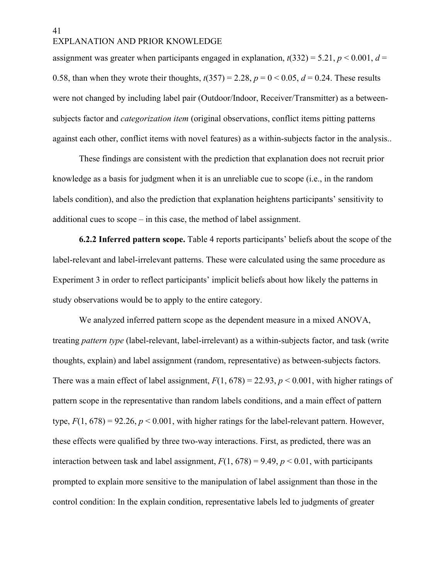assignment was greater when participants engaged in explanation,  $t(332) = 5.21$ ,  $p < 0.001$ ,  $d =$ 0.58, than when they wrote their thoughts,  $t(357) = 2.28$ ,  $p = 0 < 0.05$ ,  $d = 0.24$ . These results were not changed by including label pair (Outdoor/Indoor, Receiver/Transmitter) as a betweensubjects factor and *categorization item* (original observations, conflict items pitting patterns against each other, conflict items with novel features) as a within-subjects factor in the analysis..

These findings are consistent with the prediction that explanation does not recruit prior knowledge as a basis for judgment when it is an unreliable cue to scope (i.e., in the random labels condition), and also the prediction that explanation heightens participants' sensitivity to additional cues to scope – in this case, the method of label assignment.

**6.2.2 Inferred pattern scope.** Table 4 reports participants' beliefs about the scope of the label-relevant and label-irrelevant patterns. These were calculated using the same procedure as Experiment 3 in order to reflect participants' implicit beliefs about how likely the patterns in study observations would be to apply to the entire category.

We analyzed inferred pattern scope as the dependent measure in a mixed ANOVA, treating *pattern type* (label-relevant, label-irrelevant) as a within-subjects factor, and task (write thoughts, explain) and label assignment (random, representative) as between-subjects factors. There was a main effect of label assignment,  $F(1, 678) = 22.93$ ,  $p < 0.001$ , with higher ratings of pattern scope in the representative than random labels conditions, and a main effect of pattern type,  $F(1, 678) = 92.26$ ,  $p < 0.001$ , with higher ratings for the label-relevant pattern. However, these effects were qualified by three two-way interactions. First, as predicted, there was an interaction between task and label assignment,  $F(1, 678) = 9.49$ ,  $p < 0.01$ , with participants prompted to explain more sensitive to the manipulation of label assignment than those in the control condition: In the explain condition, representative labels led to judgments of greater

41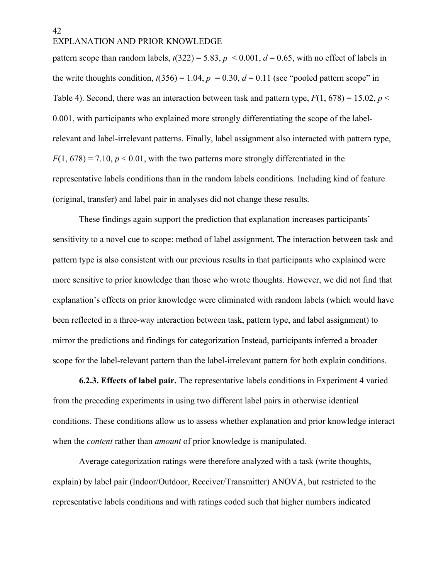42

pattern scope than random labels,  $t(322) = 5.83$ ,  $p < 0.001$ ,  $d = 0.65$ , with no effect of labels in the write thoughts condition,  $t(356) = 1.04$ ,  $p = 0.30$ ,  $d = 0.11$  (see "pooled pattern scope" in Table 4). Second, there was an interaction between task and pattern type,  $F(1, 678) = 15.02$ ,  $p <$ 0.001, with participants who explained more strongly differentiating the scope of the labelrelevant and label-irrelevant patterns. Finally, label assignment also interacted with pattern type,  $F(1, 678) = 7.10, p < 0.01$ , with the two patterns more strongly differentiated in the representative labels conditions than in the random labels conditions. Including kind of feature (original, transfer) and label pair in analyses did not change these results.

These findings again support the prediction that explanation increases participants' sensitivity to a novel cue to scope: method of label assignment. The interaction between task and pattern type is also consistent with our previous results in that participants who explained were more sensitive to prior knowledge than those who wrote thoughts. However, we did not find that explanation's effects on prior knowledge were eliminated with random labels (which would have been reflected in a three-way interaction between task, pattern type, and label assignment) to mirror the predictions and findings for categorization Instead, participants inferred a broader scope for the label-relevant pattern than the label-irrelevant pattern for both explain conditions.

**6.2.3. Effects of label pair.** The representative labels conditions in Experiment 4 varied from the preceding experiments in using two different label pairs in otherwise identical conditions. These conditions allow us to assess whether explanation and prior knowledge interact when the *content* rather than *amount* of prior knowledge is manipulated.

Average categorization ratings were therefore analyzed with a task (write thoughts, explain) by label pair (Indoor/Outdoor, Receiver/Transmitter) ANOVA, but restricted to the representative labels conditions and with ratings coded such that higher numbers indicated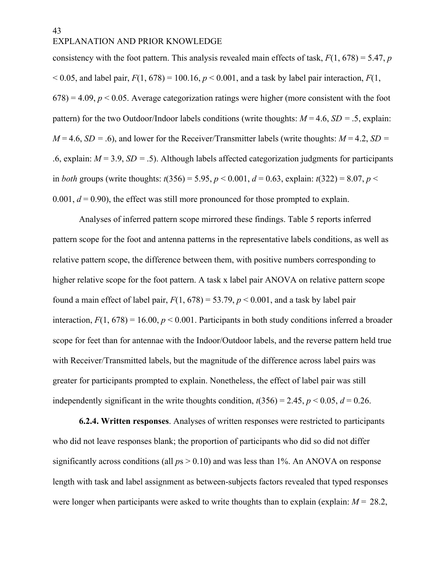consistency with the foot pattern. This analysis revealed main effects of task,  $F(1, 678) = 5.47$ , *p*  $\leq$  0.05, and label pair, *F*(1, 678) = 100.16, *p*  $\leq$  0.001, and a task by label pair interaction, *F*(1,  $678$ ) = 4.09,  $p < 0.05$ . Average categorization ratings were higher (more consistent with the foot pattern) for the two Outdoor/Indoor labels conditions (write thoughts:  $M = 4.6$ ,  $SD = .5$ , explain:  $M = 4.6$ ,  $SD = .6$ ), and lower for the Receiver/Transmitter labels (write thoughts:  $M = 4.2$ ,  $SD =$ .6, explain: *M* = 3.9, *SD =* .5). Although labels affected categorization judgments for participants in *both* groups (write thoughts:  $t(356) = 5.95$ ,  $p < 0.001$ ,  $d = 0.63$ , explain:  $t(322) = 8.07$ ,  $p <$  $0.001$ ,  $d = 0.90$ ), the effect was still more pronounced for those prompted to explain.

Analyses of inferred pattern scope mirrored these findings. Table 5 reports inferred pattern scope for the foot and antenna patterns in the representative labels conditions, as well as relative pattern scope, the difference between them, with positive numbers corresponding to higher relative scope for the foot pattern. A task x label pair ANOVA on relative pattern scope found a main effect of label pair,  $F(1, 678) = 53.79$ ,  $p < 0.001$ , and a task by label pair interaction,  $F(1, 678) = 16.00$ ,  $p < 0.001$ . Participants in both study conditions inferred a broader scope for feet than for antennae with the Indoor/Outdoor labels, and the reverse pattern held true with Receiver/Transmitted labels, but the magnitude of the difference across label pairs was greater for participants prompted to explain. Nonetheless, the effect of label pair was still independently significant in the write thoughts condition,  $t(356) = 2.45$ ,  $p < 0.05$ ,  $d = 0.26$ .

**6.2.4. Written responses**. Analyses of written responses were restricted to participants who did not leave responses blank; the proportion of participants who did so did not differ significantly across conditions (all  $p_s > 0.10$ ) and was less than 1%. An ANOVA on response length with task and label assignment as between-subjects factors revealed that typed responses were longer when participants were asked to write thoughts than to explain (explain:  $M = 28.2$ ,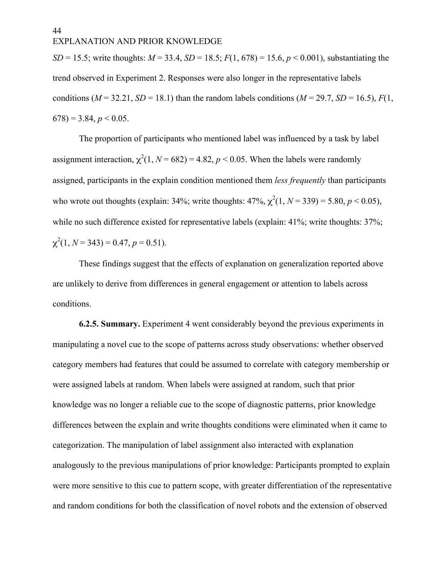*SD* = 15.5; write thoughts: *M* = 33.4, *SD* = 18.5; *F*(1, 678) = 15.6, *p* < 0.001), substantiating the trend observed in Experiment 2. Responses were also longer in the representative labels conditions ( $M = 32.21$ ,  $SD = 18.1$ ) than the random labels conditions ( $M = 29.7$ ,  $SD = 16.5$ ),  $F(1, 1)$  $(678) = 3.84, p < 0.05.$ 

The proportion of participants who mentioned label was influenced by a task by label assignment interaction,  $\chi^2(1, N = 682) = 4.82, p < 0.05$ . When the labels were randomly assigned, participants in the explain condition mentioned them *less frequently* than participants who wrote out thoughts (explain: 34%; write thoughts:  $47\%$ ,  $\chi^2(1, N = 339) = 5.80, p < 0.05$ ), while no such difference existed for representative labels (explain: 41%; write thoughts: 37%;  $\chi^2(1, N = 343) = 0.47, p = 0.51$ .

These findings suggest that the effects of explanation on generalization reported above are unlikely to derive from differences in general engagement or attention to labels across conditions.

**6.2.5. Summary.** Experiment 4 went considerably beyond the previous experiments in manipulating a novel cue to the scope of patterns across study observations: whether observed category members had features that could be assumed to correlate with category membership or were assigned labels at random. When labels were assigned at random, such that prior knowledge was no longer a reliable cue to the scope of diagnostic patterns, prior knowledge differences between the explain and write thoughts conditions were eliminated when it came to categorization. The manipulation of label assignment also interacted with explanation analogously to the previous manipulations of prior knowledge: Participants prompted to explain were more sensitive to this cue to pattern scope, with greater differentiation of the representative and random conditions for both the classification of novel robots and the extension of observed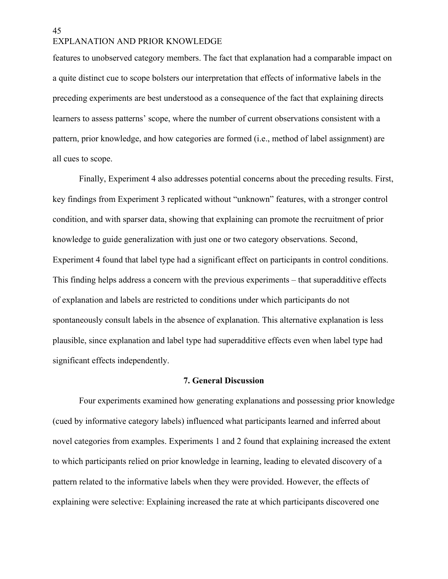45

features to unobserved category members. The fact that explanation had a comparable impact on a quite distinct cue to scope bolsters our interpretation that effects of informative labels in the preceding experiments are best understood as a consequence of the fact that explaining directs learners to assess patterns' scope, where the number of current observations consistent with a pattern, prior knowledge, and how categories are formed (i.e., method of label assignment) are all cues to scope.

Finally, Experiment 4 also addresses potential concerns about the preceding results. First, key findings from Experiment 3 replicated without "unknown" features, with a stronger control condition, and with sparser data, showing that explaining can promote the recruitment of prior knowledge to guide generalization with just one or two category observations. Second, Experiment 4 found that label type had a significant effect on participants in control conditions. This finding helps address a concern with the previous experiments – that superadditive effects of explanation and labels are restricted to conditions under which participants do not spontaneously consult labels in the absence of explanation. This alternative explanation is less plausible, since explanation and label type had superadditive effects even when label type had significant effects independently.

#### **7. General Discussion**

Four experiments examined how generating explanations and possessing prior knowledge (cued by informative category labels) influenced what participants learned and inferred about novel categories from examples. Experiments 1 and 2 found that explaining increased the extent to which participants relied on prior knowledge in learning, leading to elevated discovery of a pattern related to the informative labels when they were provided. However, the effects of explaining were selective: Explaining increased the rate at which participants discovered one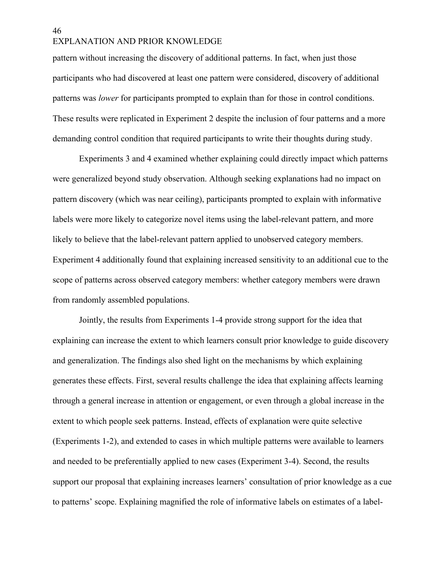46

pattern without increasing the discovery of additional patterns. In fact, when just those participants who had discovered at least one pattern were considered, discovery of additional patterns was *lower* for participants prompted to explain than for those in control conditions. These results were replicated in Experiment 2 despite the inclusion of four patterns and a more demanding control condition that required participants to write their thoughts during study.

Experiments 3 and 4 examined whether explaining could directly impact which patterns were generalized beyond study observation. Although seeking explanations had no impact on pattern discovery (which was near ceiling), participants prompted to explain with informative labels were more likely to categorize novel items using the label-relevant pattern, and more likely to believe that the label-relevant pattern applied to unobserved category members. Experiment 4 additionally found that explaining increased sensitivity to an additional cue to the scope of patterns across observed category members: whether category members were drawn from randomly assembled populations.

Jointly, the results from Experiments 1-4 provide strong support for the idea that explaining can increase the extent to which learners consult prior knowledge to guide discovery and generalization. The findings also shed light on the mechanisms by which explaining generates these effects. First, several results challenge the idea that explaining affects learning through a general increase in attention or engagement, or even through a global increase in the extent to which people seek patterns. Instead, effects of explanation were quite selective (Experiments 1-2), and extended to cases in which multiple patterns were available to learners and needed to be preferentially applied to new cases (Experiment 3-4). Second, the results support our proposal that explaining increases learners' consultation of prior knowledge as a cue to patterns' scope. Explaining magnified the role of informative labels on estimates of a label-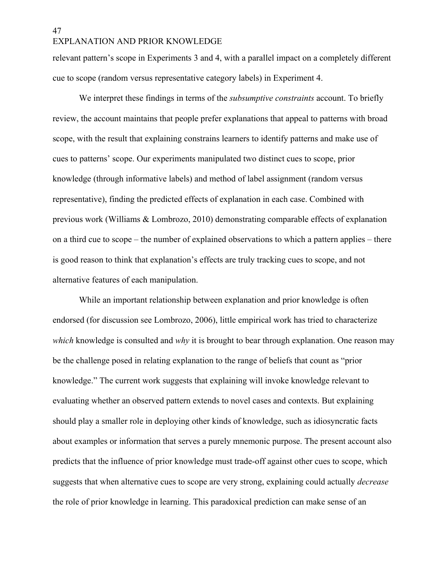relevant pattern's scope in Experiments 3 and 4, with a parallel impact on a completely different cue to scope (random versus representative category labels) in Experiment 4.

We interpret these findings in terms of the *subsumptive constraints* account. To briefly review, the account maintains that people prefer explanations that appeal to patterns with broad scope, with the result that explaining constrains learners to identify patterns and make use of cues to patterns' scope. Our experiments manipulated two distinct cues to scope, prior knowledge (through informative labels) and method of label assignment (random versus representative), finding the predicted effects of explanation in each case. Combined with previous work (Williams & Lombrozo, 2010) demonstrating comparable effects of explanation on a third cue to scope – the number of explained observations to which a pattern applies – there is good reason to think that explanation's effects are truly tracking cues to scope, and not alternative features of each manipulation.

While an important relationship between explanation and prior knowledge is often endorsed (for discussion see Lombrozo, 2006), little empirical work has tried to characterize *which* knowledge is consulted and *why* it is brought to bear through explanation. One reason may be the challenge posed in relating explanation to the range of beliefs that count as "prior knowledge." The current work suggests that explaining will invoke knowledge relevant to evaluating whether an observed pattern extends to novel cases and contexts. But explaining should play a smaller role in deploying other kinds of knowledge, such as idiosyncratic facts about examples or information that serves a purely mnemonic purpose. The present account also predicts that the influence of prior knowledge must trade-off against other cues to scope, which suggests that when alternative cues to scope are very strong, explaining could actually *decrease* the role of prior knowledge in learning. This paradoxical prediction can make sense of an

47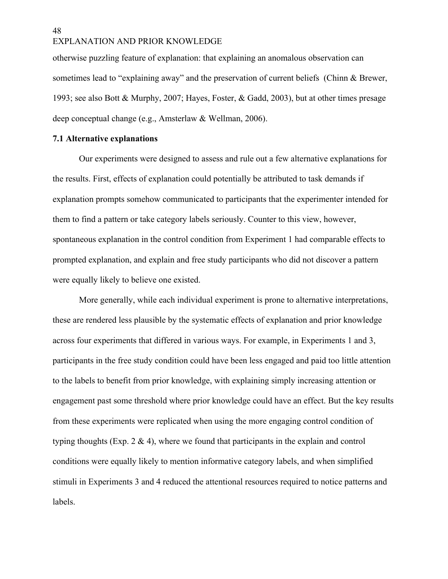otherwise puzzling feature of explanation: that explaining an anomalous observation can sometimes lead to "explaining away" and the preservation of current beliefs (Chinn & Brewer, 1993; see also Bott & Murphy, 2007; Hayes, Foster, & Gadd, 2003), but at other times presage deep conceptual change (e.g., Amsterlaw & Wellman, 2006).

## **7.1 Alternative explanations**

Our experiments were designed to assess and rule out a few alternative explanations for the results. First, effects of explanation could potentially be attributed to task demands if explanation prompts somehow communicated to participants that the experimenter intended for them to find a pattern or take category labels seriously. Counter to this view, however, spontaneous explanation in the control condition from Experiment 1 had comparable effects to prompted explanation, and explain and free study participants who did not discover a pattern were equally likely to believe one existed.

More generally, while each individual experiment is prone to alternative interpretations, these are rendered less plausible by the systematic effects of explanation and prior knowledge across four experiments that differed in various ways. For example, in Experiments 1 and 3, participants in the free study condition could have been less engaged and paid too little attention to the labels to benefit from prior knowledge, with explaining simply increasing attention or engagement past some threshold where prior knowledge could have an effect. But the key results from these experiments were replicated when using the more engaging control condition of typing thoughts (Exp.  $2 \& 4$ ), where we found that participants in the explain and control conditions were equally likely to mention informative category labels, and when simplified stimuli in Experiments 3 and 4 reduced the attentional resources required to notice patterns and labels.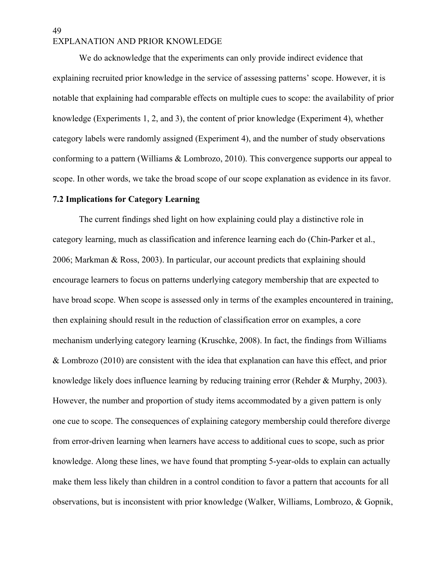49

We do acknowledge that the experiments can only provide indirect evidence that explaining recruited prior knowledge in the service of assessing patterns' scope. However, it is notable that explaining had comparable effects on multiple cues to scope: the availability of prior knowledge (Experiments 1, 2, and 3), the content of prior knowledge (Experiment 4), whether category labels were randomly assigned (Experiment 4), and the number of study observations conforming to a pattern (Williams & Lombrozo, 2010). This convergence supports our appeal to scope. In other words, we take the broad scope of our scope explanation as evidence in its favor.

#### **7.2 Implications for Category Learning**

The current findings shed light on how explaining could play a distinctive role in category learning, much as classification and inference learning each do (Chin-Parker et al., 2006; Markman & Ross, 2003). In particular, our account predicts that explaining should encourage learners to focus on patterns underlying category membership that are expected to have broad scope. When scope is assessed only in terms of the examples encountered in training, then explaining should result in the reduction of classification error on examples, a core mechanism underlying category learning (Kruschke, 2008). In fact, the findings from Williams & Lombrozo (2010) are consistent with the idea that explanation can have this effect, and prior knowledge likely does influence learning by reducing training error (Rehder & Murphy, 2003). However, the number and proportion of study items accommodated by a given pattern is only one cue to scope. The consequences of explaining category membership could therefore diverge from error-driven learning when learners have access to additional cues to scope, such as prior knowledge. Along these lines, we have found that prompting 5-year-olds to explain can actually make them less likely than children in a control condition to favor a pattern that accounts for all observations, but is inconsistent with prior knowledge (Walker, Williams, Lombrozo, & Gopnik,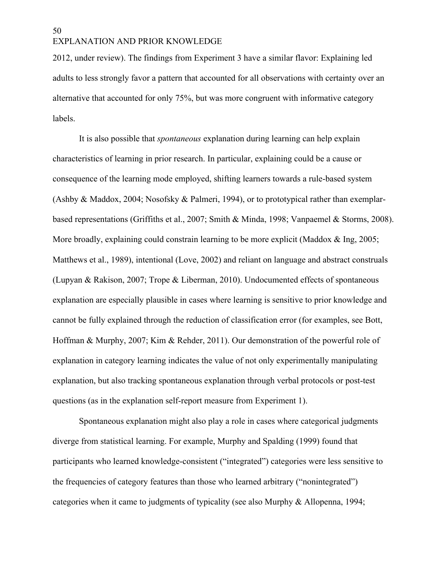2012, under review). The findings from Experiment 3 have a similar flavor: Explaining led adults to less strongly favor a pattern that accounted for all observations with certainty over an alternative that accounted for only 75%, but was more congruent with informative category labels.

It is also possible that *spontaneous* explanation during learning can help explain characteristics of learning in prior research. In particular, explaining could be a cause or consequence of the learning mode employed, shifting learners towards a rule-based system (Ashby & Maddox, 2004; Nosofsky & Palmeri, 1994), or to prototypical rather than exemplarbased representations (Griffiths et al., 2007; Smith & Minda, 1998; Vanpaemel & Storms, 2008). More broadly, explaining could constrain learning to be more explicit (Maddox & Ing, 2005; Matthews et al., 1989), intentional (Love, 2002) and reliant on language and abstract construals (Lupyan & Rakison, 2007; Trope & Liberman, 2010). Undocumented effects of spontaneous explanation are especially plausible in cases where learning is sensitive to prior knowledge and cannot be fully explained through the reduction of classification error (for examples, see Bott, Hoffman & Murphy, 2007; Kim & Rehder, 2011). Our demonstration of the powerful role of explanation in category learning indicates the value of not only experimentally manipulating explanation, but also tracking spontaneous explanation through verbal protocols or post-test questions (as in the explanation self-report measure from Experiment 1).

Spontaneous explanation might also play a role in cases where categorical judgments diverge from statistical learning. For example, Murphy and Spalding (1999) found that participants who learned knowledge-consistent ("integrated") categories were less sensitive to the frequencies of category features than those who learned arbitrary ("nonintegrated") categories when it came to judgments of typicality (see also Murphy & Allopenna, 1994;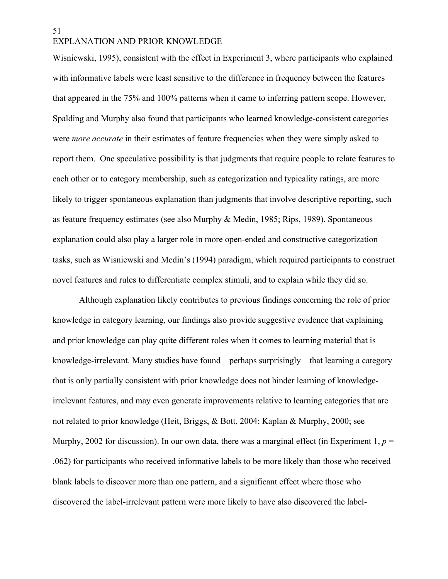Wisniewski, 1995), consistent with the effect in Experiment 3, where participants who explained with informative labels were least sensitive to the difference in frequency between the features that appeared in the 75% and 100% patterns when it came to inferring pattern scope. However, Spalding and Murphy also found that participants who learned knowledge-consistent categories were *more accurate* in their estimates of feature frequencies when they were simply asked to report them. One speculative possibility is that judgments that require people to relate features to each other or to category membership, such as categorization and typicality ratings, are more likely to trigger spontaneous explanation than judgments that involve descriptive reporting, such as feature frequency estimates (see also Murphy & Medin, 1985; Rips, 1989). Spontaneous explanation could also play a larger role in more open-ended and constructive categorization tasks, such as Wisniewski and Medin's (1994) paradigm, which required participants to construct novel features and rules to differentiate complex stimuli, and to explain while they did so.

Although explanation likely contributes to previous findings concerning the role of prior knowledge in category learning, our findings also provide suggestive evidence that explaining and prior knowledge can play quite different roles when it comes to learning material that is knowledge-irrelevant. Many studies have found – perhaps surprisingly – that learning a category that is only partially consistent with prior knowledge does not hinder learning of knowledgeirrelevant features, and may even generate improvements relative to learning categories that are not related to prior knowledge (Heit, Briggs, & Bott, 2004; Kaplan & Murphy, 2000; see Murphy, 2002 for discussion). In our own data, there was a marginal effect (in Experiment 1,  $p =$ .062) for participants who received informative labels to be more likely than those who received blank labels to discover more than one pattern, and a significant effect where those who discovered the label-irrelevant pattern were more likely to have also discovered the label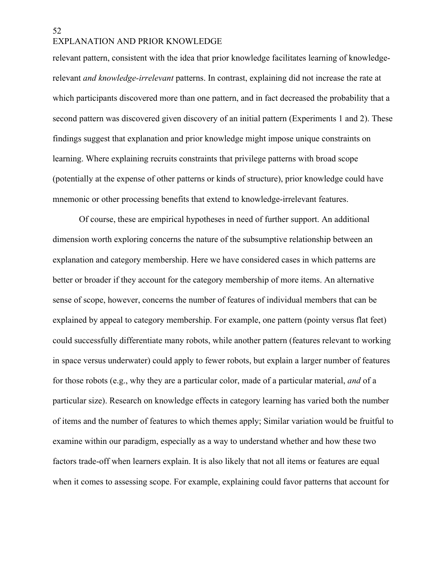52

relevant pattern, consistent with the idea that prior knowledge facilitates learning of knowledgerelevant *and knowledge-irrelevant* patterns. In contrast, explaining did not increase the rate at which participants discovered more than one pattern, and in fact decreased the probability that a second pattern was discovered given discovery of an initial pattern (Experiments 1 and 2). These findings suggest that explanation and prior knowledge might impose unique constraints on learning. Where explaining recruits constraints that privilege patterns with broad scope (potentially at the expense of other patterns or kinds of structure), prior knowledge could have mnemonic or other processing benefits that extend to knowledge-irrelevant features.

Of course, these are empirical hypotheses in need of further support. An additional dimension worth exploring concerns the nature of the subsumptive relationship between an explanation and category membership. Here we have considered cases in which patterns are better or broader if they account for the category membership of more items. An alternative sense of scope, however, concerns the number of features of individual members that can be explained by appeal to category membership. For example, one pattern (pointy versus flat feet) could successfully differentiate many robots, while another pattern (features relevant to working in space versus underwater) could apply to fewer robots, but explain a larger number of features for those robots (e.g., why they are a particular color, made of a particular material, *and* of a particular size). Research on knowledge effects in category learning has varied both the number of items and the number of features to which themes apply; Similar variation would be fruitful to examine within our paradigm, especially as a way to understand whether and how these two factors trade-off when learners explain. It is also likely that not all items or features are equal when it comes to assessing scope. For example, explaining could favor patterns that account for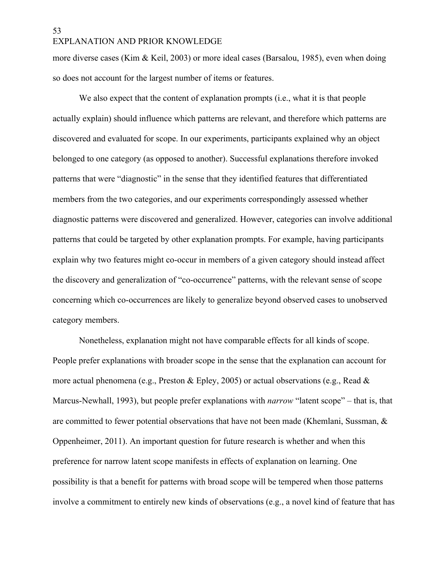53

more diverse cases (Kim & Keil, 2003) or more ideal cases (Barsalou, 1985), even when doing so does not account for the largest number of items or features.

We also expect that the content of explanation prompts (i.e., what it is that people actually explain) should influence which patterns are relevant, and therefore which patterns are discovered and evaluated for scope. In our experiments, participants explained why an object belonged to one category (as opposed to another). Successful explanations therefore invoked patterns that were "diagnostic" in the sense that they identified features that differentiated members from the two categories, and our experiments correspondingly assessed whether diagnostic patterns were discovered and generalized. However, categories can involve additional patterns that could be targeted by other explanation prompts. For example, having participants explain why two features might co-occur in members of a given category should instead affect the discovery and generalization of "co-occurrence" patterns, with the relevant sense of scope concerning which co-occurrences are likely to generalize beyond observed cases to unobserved category members.

Nonetheless, explanation might not have comparable effects for all kinds of scope. People prefer explanations with broader scope in the sense that the explanation can account for more actual phenomena (e.g., Preston & Epley, 2005) or actual observations (e.g., Read & Marcus-Newhall, 1993), but people prefer explanations with *narrow* "latent scope" – that is, that are committed to fewer potential observations that have not been made (Khemlani, Sussman, & Oppenheimer, 2011). An important question for future research is whether and when this preference for narrow latent scope manifests in effects of explanation on learning. One possibility is that a benefit for patterns with broad scope will be tempered when those patterns involve a commitment to entirely new kinds of observations (e.g., a novel kind of feature that has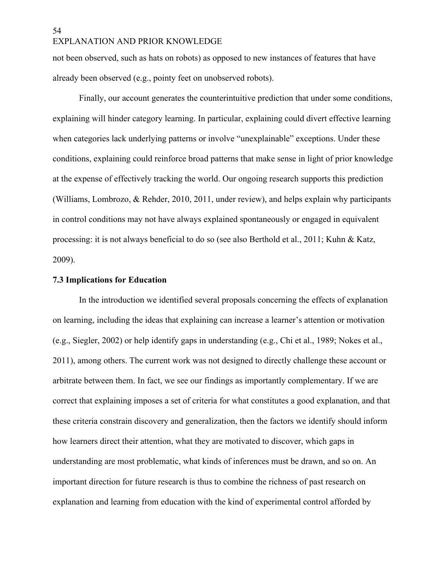not been observed, such as hats on robots) as opposed to new instances of features that have already been observed (e.g., pointy feet on unobserved robots).

Finally, our account generates the counterintuitive prediction that under some conditions, explaining will hinder category learning. In particular, explaining could divert effective learning when categories lack underlying patterns or involve "unexplainable" exceptions. Under these conditions, explaining could reinforce broad patterns that make sense in light of prior knowledge at the expense of effectively tracking the world. Our ongoing research supports this prediction (Williams, Lombrozo, & Rehder, 2010, 2011, under review), and helps explain why participants in control conditions may not have always explained spontaneously or engaged in equivalent processing: it is not always beneficial to do so (see also Berthold et al., 2011; Kuhn & Katz, 2009).

## **7.3 Implications for Education**

In the introduction we identified several proposals concerning the effects of explanation on learning, including the ideas that explaining can increase a learner's attention or motivation (e.g., Siegler, 2002) or help identify gaps in understanding (e.g., Chi et al., 1989; Nokes et al., 2011), among others. The current work was not designed to directly challenge these account or arbitrate between them. In fact, we see our findings as importantly complementary. If we are correct that explaining imposes a set of criteria for what constitutes a good explanation, and that these criteria constrain discovery and generalization, then the factors we identify should inform how learners direct their attention, what they are motivated to discover, which gaps in understanding are most problematic, what kinds of inferences must be drawn, and so on. An important direction for future research is thus to combine the richness of past research on explanation and learning from education with the kind of experimental control afforded by

54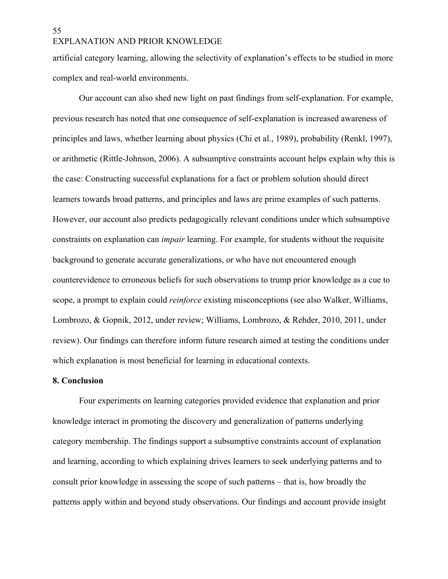55

# EXPLANATION AND PRIOR KNOWLEDGE

artificial category learning, allowing the selectivity of explanation's effects to be studied in more complex and real-world environments.

Our account can also shed new light on past findings from self-explanation. For example, previous research has noted that one consequence of self-explanation is increased awareness of principles and laws, whether learning about physics (Chi et al., 1989), probability (Renkl, 1997), or arithmetic (Rittle-Johnson, 2006). A subsumptive constraints account helps explain why this is the case: Constructing successful explanations for a fact or problem solution should direct learners towards broad patterns, and principles and laws are prime examples of such patterns. However, our account also predicts pedagogically relevant conditions under which subsumptive constraints on explanation can *impair* learning. For example, for students without the requisite background to generate accurate generalizations, or who have not encountered enough counterevidence to erroneous beliefs for such observations to trump prior knowledge as a cue to scope, a prompt to explain could *reinforce* existing misconceptions (see also Walker, Williams, Lombrozo, & Gopnik, 2012, under review; Williams, Lombrozo, & Rehder, 2010, 2011, under review). Our findings can therefore inform future research aimed at testing the conditions under which explanation is most beneficial for learning in educational contexts.

#### **8. Conclusion**

Four experiments on learning categories provided evidence that explanation and prior knowledge interact in promoting the discovery and generalization of patterns underlying category membership. The findings support a subsumptive constraints account of explanation and learning, according to which explaining drives learners to seek underlying patterns and to consult prior knowledge in assessing the scope of such patterns – that is, how broadly the patterns apply within and beyond study observations. Our findings and account provide insight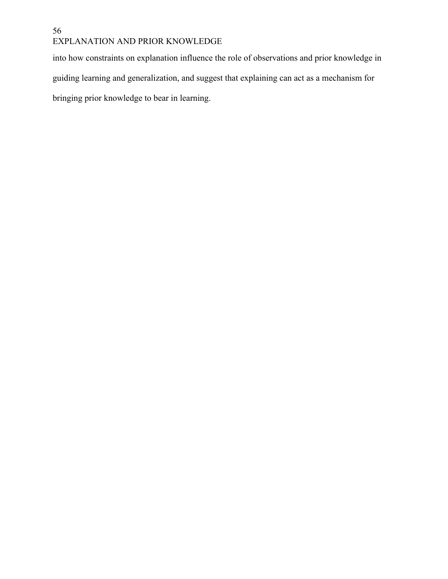into how constraints on explanation influence the role of observations and prior knowledge in guiding learning and generalization, and suggest that explaining can act as a mechanism for bringing prior knowledge to bear in learning.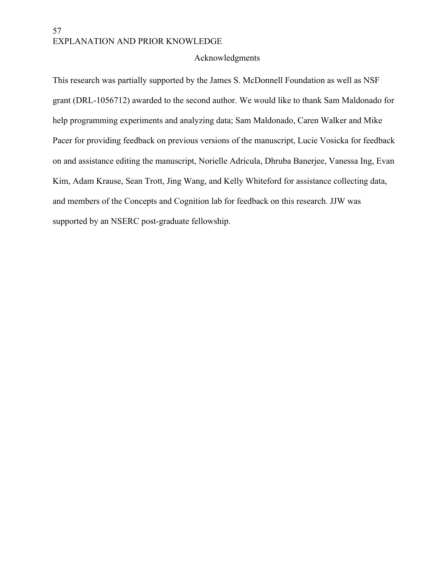## Acknowledgments

This research was partially supported by the James S. McDonnell Foundation as well as NSF grant (DRL-1056712) awarded to the second author. We would like to thank Sam Maldonado for help programming experiments and analyzing data; Sam Maldonado, Caren Walker and Mike Pacer for providing feedback on previous versions of the manuscript, Lucie Vosicka for feedback on and assistance editing the manuscript, Norielle Adricula, Dhruba Banerjee, Vanessa Ing, Evan Kim, Adam Krause, Sean Trott, Jing Wang, and Kelly Whiteford for assistance collecting data, and members of the Concepts and Cognition lab for feedback on this research. JJW was supported by an NSERC post-graduate fellowship.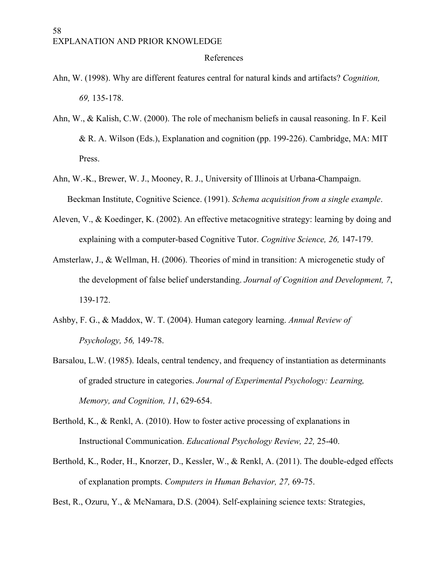#### References

- Ahn, W. (1998). Why are different features central for natural kinds and artifacts? *Cognition, 69,* 135-178.
- Ahn, W., & Kalish, C.W. (2000). The role of mechanism beliefs in causal reasoning. In F. Keil & R. A. Wilson (Eds.), Explanation and cognition (pp. 199-226). Cambridge, MA: MIT Press.
- Ahn, W.-K., Brewer, W. J., Mooney, R. J., University of Illinois at Urbana-Champaign. Beckman Institute, Cognitive Science. (1991). *Schema acquisition from a single example*.
- Aleven, V., & Koedinger, K. (2002). An effective metacognitive strategy: learning by doing and explaining with a computer-based Cognitive Tutor. *Cognitive Science, 26,* 147-179.
- Amsterlaw, J., & Wellman, H. (2006). Theories of mind in transition: A microgenetic study of the development of false belief understanding. *Journal of Cognition and Development, 7*, 139-172.
- Ashby, F. G., & Maddox, W. T. (2004). Human category learning. *Annual Review of Psychology, 56,* 149-78.
- Barsalou, L.W. (1985). Ideals, central tendency, and frequency of instantiation as determinants of graded structure in categories. *Journal of Experimental Psychology: Learning, Memory, and Cognition, 11*, 629-654.
- Berthold, K., & Renkl, A. (2010). How to foster active processing of explanations in Instructional Communication. *Educational Psychology Review, 22,* 25-40.
- Berthold, K., Roder, H., Knorzer, D., Kessler, W., & Renkl, A. (2011). The double-edged effects of explanation prompts. *Computers in Human Behavior, 27,* 69-75.

Best, R., Ozuru, Y., & McNamara, D.S. (2004). Self-explaining science texts: Strategies,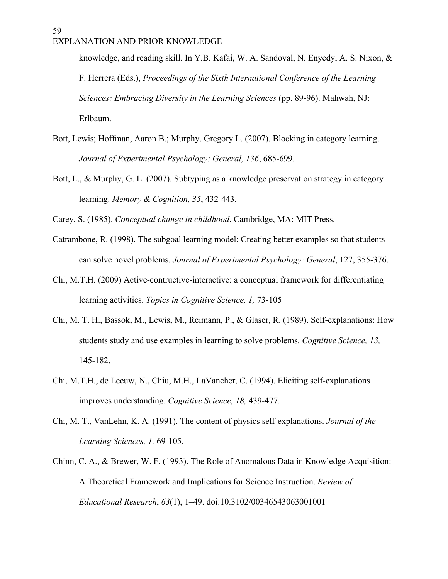knowledge, and reading skill. In Y.B. Kafai, W. A. Sandoval, N. Enyedy, A. S. Nixon, & F. Herrera (Eds.), *Proceedings of the Sixth International Conference of the Learning Sciences: Embracing Diversity in the Learning Sciences* (pp. 89-96). Mahwah, NJ: Erlbaum.

- Bott, Lewis; Hoffman, Aaron B.; Murphy, Gregory L. (2007). Blocking in category learning. *Journal of Experimental Psychology: General, 136*, 685-699.
- Bott, L., & Murphy, G. L. (2007). Subtyping as a knowledge preservation strategy in category learning. *Memory & Cognition, 35*, 432-443.

Carey, S. (1985). *Conceptual change in childhood*. Cambridge, MA: MIT Press.

- Catrambone, R. (1998). The subgoal learning model: Creating better examples so that students can solve novel problems. *Journal of Experimental Psychology: General*, 127, 355-376.
- Chi, M.T.H. (2009) Active-contructive-interactive: a conceptual framework for differentiating learning activities. *Topics in Cognitive Science, 1,* 73-105
- Chi, M. T. H., Bassok, M., Lewis, M., Reimann, P., & Glaser, R. (1989). Self-explanations: How students study and use examples in learning to solve problems. *Cognitive Science, 13,* 145-182.
- Chi, M.T.H., de Leeuw, N., Chiu, M.H., LaVancher, C. (1994). Eliciting self-explanations improves understanding. *Cognitive Science, 18,* 439-477.
- Chi, M. T., VanLehn, K. A. (1991). The content of physics self-explanations. *Journal of the Learning Sciences, 1,* 69-105.
- Chinn, C. A., & Brewer, W. F. (1993). The Role of Anomalous Data in Knowledge Acquisition: A Theoretical Framework and Implications for Science Instruction. *Review of Educational Research*, *63*(1), 1–49. doi:10.3102/00346543063001001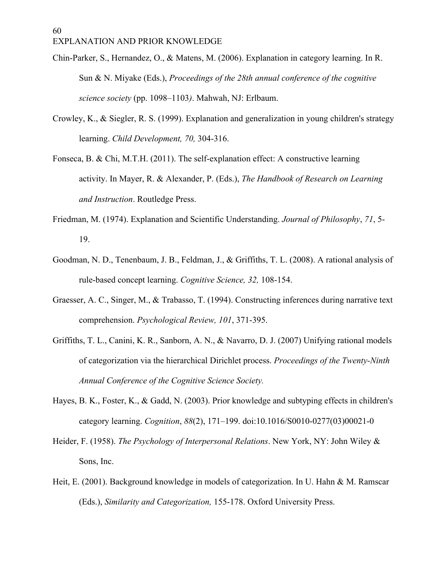- Chin-Parker, S., Hernandez, O., & Matens, M. (2006). Explanation in category learning. In R. Sun & N. Miyake (Eds.), *Proceedings of the 28th annual conference of the cognitive science society* (pp. 1098–1103*)*. Mahwah, NJ: Erlbaum.
- Crowley, K., & Siegler, R. S. (1999). Explanation and generalization in young children's strategy learning. *Child Development, 70,* 304-316.
- Fonseca, B. & Chi, M.T.H. (2011). The self-explanation effect: A constructive learning activity. In Mayer, R. & Alexander, P. (Eds.), *The Handbook of Research on Learning and Instruction*. Routledge Press.
- Friedman, M. (1974). Explanation and Scientific Understanding. *Journal of Philosophy*, *71*, 5- 19.
- Goodman, N. D., Tenenbaum, J. B., Feldman, J., & Griffiths, T. L. (2008). A rational analysis of rule-based concept learning. *Cognitive Science, 32,* 108-154.
- Graesser, A. C., Singer, M., & Trabasso, T. (1994). Constructing inferences during narrative text comprehension. *Psychological Review, 101*, 371-395.
- Griffiths, T. L., Canini, K. R., Sanborn, A. N., & Navarro, D. J. (2007) Unifying rational models of categorization via the hierarchical Dirichlet process. *Proceedings of the Twenty-Ninth Annual Conference of the Cognitive Science Society.*
- Hayes, B. K., Foster, K., & Gadd, N. (2003). Prior knowledge and subtyping effects in children's category learning. *Cognition*, *88*(2), 171–199. doi:10.1016/S0010-0277(03)00021-0
- Heider, F. (1958). *The Psychology of Interpersonal Relations*. New York, NY: John Wiley & Sons, Inc.
- Heit, E. (2001). Background knowledge in models of categorization. In U. Hahn & M. Ramscar (Eds.), *Similarity and Categorization,* 155-178. Oxford University Press.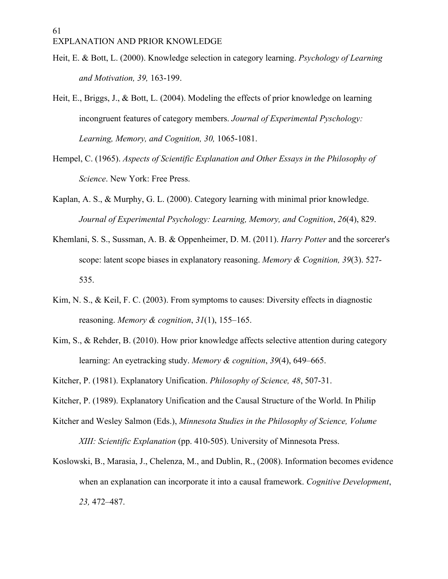- Heit, E. & Bott, L. (2000). Knowledge selection in category learning. *Psychology of Learning and Motivation, 39,* 163-199.
- Heit, E., Briggs, J., & Bott, L. (2004). Modeling the effects of prior knowledge on learning incongruent features of category members. *Journal of Experimental Pyschology: Learning, Memory, and Cognition, 30,* 1065-1081.
- Hempel, C. (1965). *Aspects of Scientific Explanation and Other Essays in the Philosophy of Science*. New York: Free Press.
- Kaplan, A. S., & Murphy, G. L. (2000). Category learning with minimal prior knowledge. *Journal of Experimental Psychology: Learning, Memory, and Cognition*, *26*(4), 829.
- Khemlani, S. S., Sussman, A. B. & Oppenheimer, D. M. (2011). *Harry Potter* and the sorcerer's scope: latent scope biases in explanatory reasoning. *Memory & Cognition, 39*(3). 527- 535.
- Kim, N. S., & Keil, F. C. (2003). From symptoms to causes: Diversity effects in diagnostic reasoning. *Memory & cognition*, *31*(1), 155–165.
- Kim, S., & Rehder, B. (2010). How prior knowledge affects selective attention during category learning: An eyetracking study. *Memory & cognition*, *39*(4), 649–665.
- Kitcher, P. (1981). Explanatory Unification. *Philosophy of Science, 48*, 507-31.
- Kitcher, P. (1989). Explanatory Unification and the Causal Structure of the World. In Philip
- Kitcher and Wesley Salmon (Eds.), *Minnesota Studies in the Philosophy of Science, Volume XIII: Scientific Explanation* (pp. 410-505). University of Minnesota Press.
- Koslowski, B., Marasia, J., Chelenza, M., and Dublin, R., (2008). Information becomes evidence when an explanation can incorporate it into a causal framework. *Cognitive Development*, *23,* 472–487.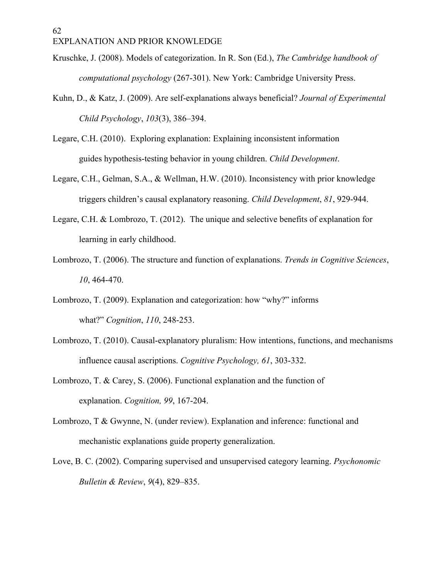- Kruschke, J. (2008). Models of categorization. In R. Son (Ed.), *The Cambridge handbook of computational psychology* (267-301). New York: Cambridge University Press.
- Kuhn, D., & Katz, J. (2009). Are self-explanations always beneficial? *Journal of Experimental Child Psychology*, *103*(3), 386–394.
- Legare, C.H. (2010). Exploring explanation: Explaining inconsistent information guides hypothesis-testing behavior in young children. *Child Development*.
- Legare, C.H., Gelman, S.A., & Wellman, H.W. (2010). Inconsistency with prior knowledge triggers children's causal explanatory reasoning. *Child Development*, *81*, 929-944.
- Legare, C.H. & Lombrozo, T. (2012). The unique and selective benefits of explanation for learning in early childhood.
- Lombrozo, T. (2006). The structure and function of explanations. *Trends in Cognitive Sciences*, *10*, 464-470.
- Lombrozo, T. (2009). Explanation and categorization: how "why?" informs what?" *Cognition*, *110*, 248-253.
- Lombrozo, T. (2010). Causal-explanatory pluralism: How intentions, functions, and mechanisms influence causal ascriptions. *Cognitive Psychology, 61*, 303-332.
- Lombrozo, T. & Carey, S. (2006). Functional explanation and the function of explanation. *Cognition, 99*, 167-204.
- Lombrozo, T & Gwynne, N. (under review). Explanation and inference: functional and mechanistic explanations guide property generalization.
- Love, B. C. (2002). Comparing supervised and unsupervised category learning. *Psychonomic Bulletin & Review*, *9*(4), 829–835.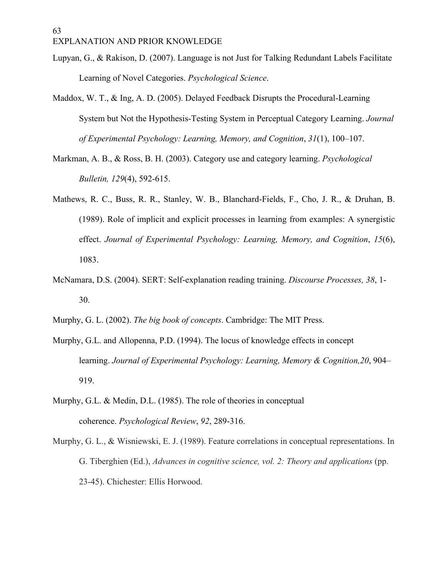- Lupyan, G., & Rakison, D. (2007). Language is not Just for Talking Redundant Labels Facilitate Learning of Novel Categories. *Psychological Science*.
- Maddox, W. T., & Ing, A. D. (2005). Delayed Feedback Disrupts the Procedural-Learning System but Not the Hypothesis-Testing System in Perceptual Category Learning. *Journal of Experimental Psychology: Learning, Memory, and Cognition*, *31*(1), 100–107.
- Markman, A. B., & Ross, B. H. (2003). Category use and category learning. *Psychological Bulletin, 129*(4), 592-615.
- Mathews, R. C., Buss, R. R., Stanley, W. B., Blanchard-Fields, F., Cho, J. R., & Druhan, B. (1989). Role of implicit and explicit processes in learning from examples: A synergistic effect. *Journal of Experimental Psychology: Learning, Memory, and Cognition*, *15*(6), 1083.
- McNamara, D.S. (2004). SERT: Self-explanation reading training. *Discourse Processes, 38*, 1- 30.
- Murphy, G. L. (2002). *The big book of concepts*. Cambridge: The MIT Press.
- Murphy, G.L. and Allopenna, P.D. (1994). The locus of knowledge effects in concept learning. *Journal of Experimental Psychology: Learning, Memory & Cognition,20*, 904– 919.
- Murphy, G.L. & Medin, D.L. (1985). The role of theories in conceptual coherence. *Psychological Review*, *92*, 289-316.
- Murphy, G. L., & Wisniewski, E. J. (1989). Feature correlations in conceptual representations. In G. Tiberghien (Ed.), *Advances in cognitive science, vol. 2: Theory and applications* (pp. 23-45). Chichester: Ellis Horwood.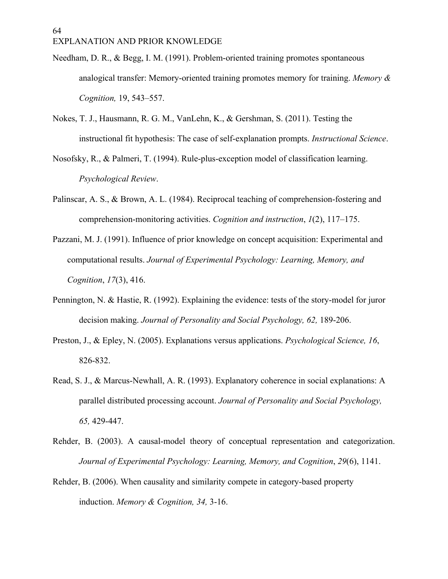- Needham, D. R., & Begg, I. M. (1991). Problem-oriented training promotes spontaneous analogical transfer: Memory-oriented training promotes memory for training. *Memory & Cognition,* 19, 543–557.
- Nokes, T. J., Hausmann, R. G. M., VanLehn, K., & Gershman, S. (2011). Testing the instructional fit hypothesis: The case of self-explanation prompts. *Instructional Science*.
- Nosofsky, R., & Palmeri, T. (1994). Rule-plus-exception model of classification learning. *Psychological Review*.
- Palinscar, A. S., & Brown, A. L. (1984). Reciprocal teaching of comprehension-fostering and comprehension-monitoring activities. *Cognition and instruction*, *1*(2), 117–175.
- Pazzani, M. J. (1991). Influence of prior knowledge on concept acquisition: Experimental and computational results. *Journal of Experimental Psychology: Learning, Memory, and Cognition*, *17*(3), 416.
- Pennington, N. & Hastie, R. (1992). Explaining the evidence: tests of the story-model for juror decision making. *Journal of Personality and Social Psychology, 62,* 189-206.
- Preston, J., & Epley, N. (2005). Explanations versus applications. *Psychological Science, 16*, 826-832.
- Read, S. J., & Marcus-Newhall, A. R. (1993). Explanatory coherence in social explanations: A parallel distributed processing account. *Journal of Personality and Social Psychology, 65,* 429-447.
- Rehder, B. (2003). A causal-model theory of conceptual representation and categorization. *Journal of Experimental Psychology: Learning, Memory, and Cognition*, *29*(6), 1141.
- Rehder, B. (2006). When causality and similarity compete in category-based property induction. *Memory & Cognition, 34,* 3-16.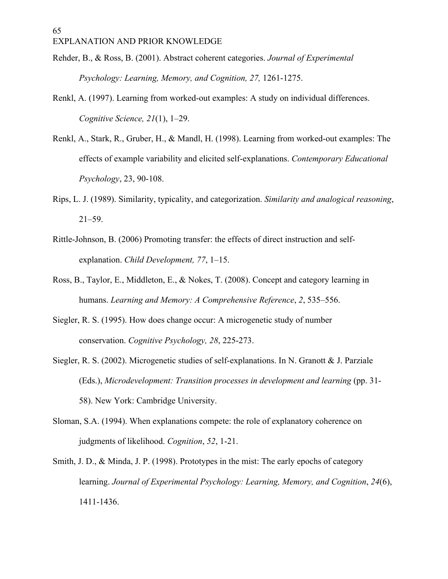- Rehder, B., & Ross, B. (2001). Abstract coherent categories. *Journal of Experimental Psychology: Learning, Memory, and Cognition, 27, 1261-1275.*
- Renkl, A. (1997). Learning from worked-out examples: A study on individual differences. *Cognitive Science, 21*(1), 1–29.
- Renkl, A., Stark, R., Gruber, H., & Mandl, H. (1998). Learning from worked-out examples: The effects of example variability and elicited self-explanations. *Contemporary Educational Psychology*, 23, 90-108.
- Rips, L. J. (1989). Similarity, typicality, and categorization. *Similarity and analogical reasoning*, 21–59.
- Rittle-Johnson, B. (2006) Promoting transfer: the effects of direct instruction and selfexplanation. *Child Development, 77*, 1–15.
- Ross, B., Taylor, E., Middleton, E., & Nokes, T. (2008). Concept and category learning in humans. *Learning and Memory: A Comprehensive Reference*, *2*, 535–556.
- Siegler, R. S. (1995). How does change occur: A microgenetic study of number conservation. *Cognitive Psychology, 28*, 225-273.
- Siegler, R. S. (2002). Microgenetic studies of self-explanations. In N. Granott & J. Parziale (Eds.), *Microdevelopment: Transition processes in development and learning* (pp. 31- 58). New York: Cambridge University.
- Sloman, S.A. (1994). When explanations compete: the role of explanatory coherence on judgments of likelihood. *Cognition*, *52*, 1-21.
- Smith, J. D., & Minda, J. P. (1998). Prototypes in the mist: The early epochs of category learning. *Journal of Experimental Psychology: Learning, Memory, and Cognition*, *24*(6), 1411-1436.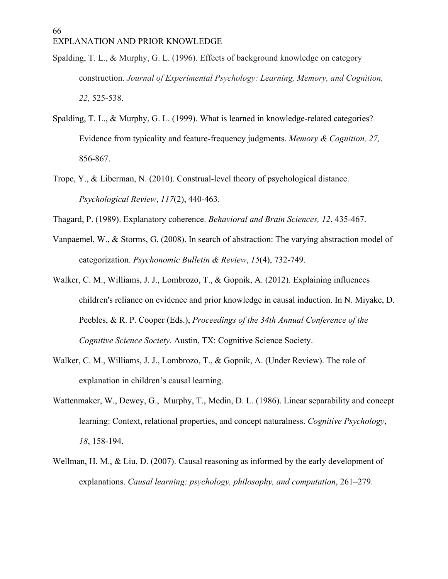- Spalding, T. L., & Murphy, G. L. (1996). Effects of background knowledge on category construction. *Journal of Experimental Psychology: Learning, Memory, and Cognition, 22,* 525-538.
- Spalding, T. L., & Murphy, G. L. (1999). What is learned in knowledge-related categories? Evidence from typicality and feature-frequency judgments. *Memory & Cognition, 27,*  856-867.
- Trope, Y., & Liberman, N. (2010). Construal-level theory of psychological distance. *Psychological Review*, *117*(2), 440-463.
- Thagard, P. (1989). Explanatory coherence. *Behavioral and Brain Sciences, 12*, 435-467.
- Vanpaemel, W., & Storms, G. (2008). In search of abstraction: The varying abstraction model of categorization. *Psychonomic Bulletin & Review*, *15*(4), 732-749.
- Walker, C. M., Williams, J. J., Lombrozo, T., & Gopnik, A. (2012). Explaining influences children's reliance on evidence and prior knowledge in causal induction. In N. Miyake, D. Peebles, & R. P. Cooper (Eds.), *Proceedings of the 34th Annual Conference of the Cognitive Science Society.* Austin, TX: Cognitive Science Society.
- Walker, C. M., Williams, J. J., Lombrozo, T., & Gopnik, A. (Under Review). The role of explanation in children's causal learning.
- Wattenmaker, W., Dewey, G., Murphy, T., Medin, D. L. (1986). Linear separability and concept learning: Context, relational properties, and concept naturalness. *Cognitive Psychology*, *18*, 158-194.
- Wellman, H. M., & Liu, D. (2007). Causal reasoning as informed by the early development of explanations. *Causal learning: psychology, philosophy, and computation*, 261–279.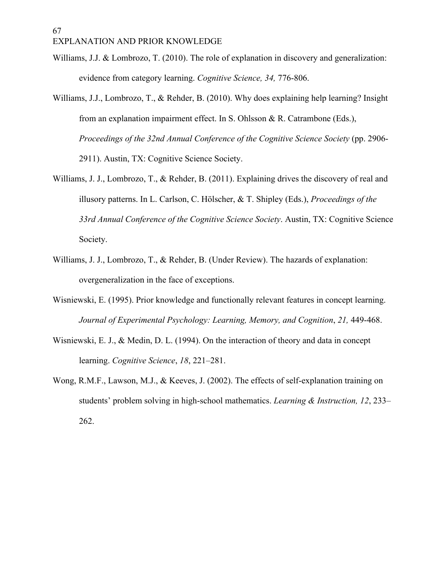- Williams, J.J. & Lombrozo, T. (2010). The role of explanation in discovery and generalization: evidence from category learning. *Cognitive Science, 34,* 776-806.
- Williams, J.J., Lombrozo, T., & Rehder, B. (2010). Why does explaining help learning? Insight from an explanation impairment effect. In S. Ohlsson & R. Catrambone (Eds.), *Proceedings of the 32nd Annual Conference of the Cognitive Science Society (pp. 2906-*2911). Austin, TX: Cognitive Science Society.
- Williams, J. J., Lombrozo, T., & Rehder, B. (2011). Explaining drives the discovery of real and illusory patterns. In L. Carlson, C. Hölscher, & T. Shipley (Eds.), *Proceedings of the 33rd Annual Conference of the Cognitive Science Society*. Austin, TX: Cognitive Science Society.
- Williams, J. J., Lombrozo, T., & Rehder, B. (Under Review). The hazards of explanation: overgeneralization in the face of exceptions.
- Wisniewski, E. (1995). Prior knowledge and functionally relevant features in concept learning. *Journal of Experimental Psychology: Learning, Memory, and Cognition*, *21,* 449-468.
- Wisniewski, E. J., & Medin, D. L. (1994). On the interaction of theory and data in concept learning. *Cognitive Science*, *18*, 221–281.
- Wong, R.M.F., Lawson, M.J., & Keeves, J. (2002). The effects of self-explanation training on students' problem solving in high-school mathematics. *Learning & Instruction, 12*, 233– 262.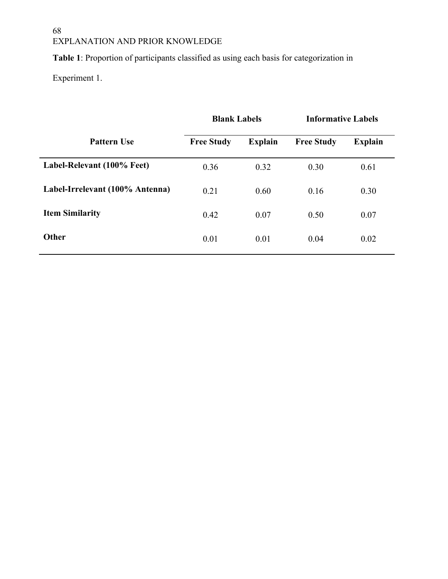**Table 1**: Proportion of participants classified as using each basis for categorization in

Experiment 1.

|                                 | <b>Blank Labels</b> |                | <b>Informative Labels</b> |                |
|---------------------------------|---------------------|----------------|---------------------------|----------------|
| <b>Pattern Use</b>              | <b>Free Study</b>   | <b>Explain</b> | <b>Free Study</b>         | <b>Explain</b> |
| Label-Relevant (100% Feet)      | 0.36                | 0.32           | 0.30                      | 0.61           |
| Label-Irrelevant (100% Antenna) | 0.21                | 0.60           | 0.16                      | 0.30           |
| <b>Item Similarity</b>          | 0.42                | 0.07           | 0.50                      | 0.07           |
| Other                           | 0.01                | 0.01           | 0.04                      | 0.02           |
|                                 |                     |                |                           |                |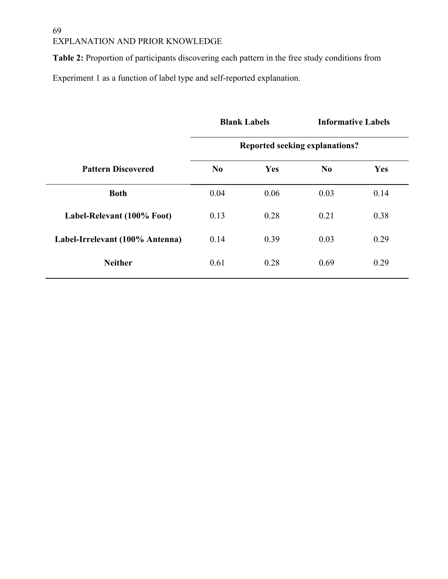**Table 2:** Proportion of participants discovering each pattern in the free study conditions from

Experiment 1 as a function of label type and self-reported explanation.

|                                 | <b>Blank Labels</b>                   |      | <b>Informative Labels</b> |      |
|---------------------------------|---------------------------------------|------|---------------------------|------|
|                                 | <b>Reported seeking explanations?</b> |      |                           |      |
| <b>Pattern Discovered</b>       | N <sub>0</sub>                        | Yes  | N <sub>0</sub>            | Yes  |
| <b>Both</b>                     | 0.04                                  | 0.06 | 0.03                      | 0.14 |
| Label-Relevant (100% Foot)      | 0.13                                  | 0.28 | 0.21                      | 0.38 |
| Label-Irrelevant (100% Antenna) | 0.14                                  | 0.39 | 0.03                      | 0.29 |
| <b>Neither</b>                  | 0.61                                  | 0.28 | 0.69                      | 0.29 |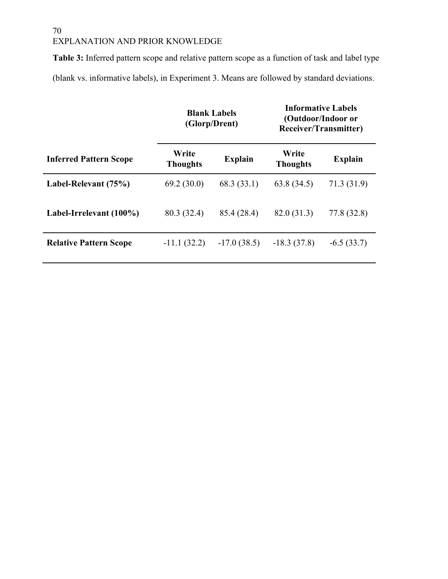**Table 3:** Inferred pattern scope and relative pattern scope as a function of task and label type (blank vs. informative labels), in Experiment 3. Means are followed by standard deviations.

|                               | <b>Blank Labels</b><br>(Glorp/Drent) |                | <b>Informative Labels</b><br>(Outdoor/Indoor or<br>Receiver/Transmitter) |                |
|-------------------------------|--------------------------------------|----------------|--------------------------------------------------------------------------|----------------|
| <b>Inferred Pattern Scope</b> | Write<br><b>Thoughts</b>             | <b>Explain</b> | Write<br><b>Thoughts</b>                                                 | <b>Explain</b> |
| Label-Relevant (75%)          | 69.2(30.0)                           | 68.3(33.1)     | 63.8(34.5)                                                               | 71.3(31.9)     |
| Label-Irrelevant (100%)       | 80.3 (32.4)                          | 85.4 (28.4)    | 82.0(31.3)                                                               | 77.8 (32.8)    |
| <b>Relative Pattern Scope</b> | $-11.1(32.2)$                        | $-17.0(38.5)$  | $-18.3(37.8)$                                                            | $-6.5(33.7)$   |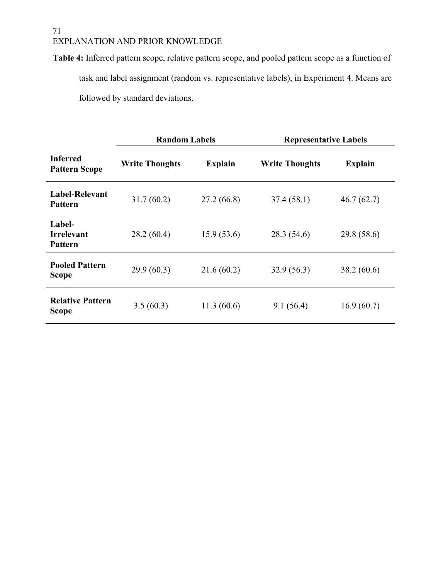**Table 4:** Inferred pattern scope, relative pattern scope, and pooled pattern scope as a function of task and label assignment (random vs. representative labels), in Experiment 4. Means are followed by standard deviations.

|                                               | <b>Random Labels</b>  |                | <b>Representative Labels</b> |                |  |
|-----------------------------------------------|-----------------------|----------------|------------------------------|----------------|--|
| <b>Inferred</b><br><b>Pattern Scope</b>       | <b>Write Thoughts</b> | <b>Explain</b> | <b>Write Thoughts</b>        | <b>Explain</b> |  |
| <b>Label-Relevant</b><br><b>Pattern</b>       | 31.7(60.2)            | 27.2(66.8)     | 37.4(58.1)                   | 46.7(62.7)     |  |
| Label-<br><b>Irrelevant</b><br><b>Pattern</b> | 28.2(60.4)            | 15.9(53.6)     | 28.3 (54.6)                  | 29.8(58.6)     |  |
| <b>Pooled Pattern</b><br><b>Scope</b>         | 29.9(60.3)            | 21.6(60.2)     | 32.9(56.3)                   | 38.2(60.6)     |  |
| <b>Relative Pattern</b><br><b>Scope</b>       | 3.5(60.3)             | 11.3(60.6)     | 9.1(56.4)                    | 16.9(60.7)     |  |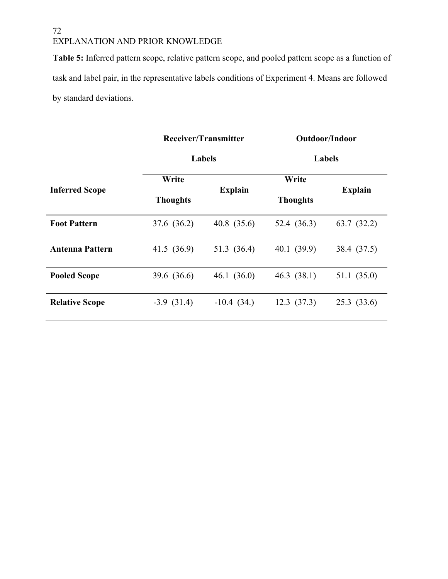**Table 5:** Inferred pattern scope, relative pattern scope, and pooled pattern scope as a function of task and label pair, in the representative labels conditions of Experiment 4. Means are followed by standard deviations.

|                        | Receiver/Transmitter     |                | <b>Outdoor/Indoor</b>    |                |  |
|------------------------|--------------------------|----------------|--------------------------|----------------|--|
|                        | <b>Labels</b>            |                | Labels                   |                |  |
| <b>Inferred Scope</b>  | Write<br><b>Thoughts</b> | <b>Explain</b> | Write<br><b>Thoughts</b> | <b>Explain</b> |  |
| <b>Foot Pattern</b>    | 37.6 (36.2)              | 40.8 $(35.6)$  | 52.4 (36.3)              | 63.7 (32.2)    |  |
| <b>Antenna Pattern</b> | 41.5 (36.9)              | 51.3 (36.4)    | 40.1(39.9)               | 38.4 (37.5)    |  |
| <b>Pooled Scope</b>    | 39.6 (36.6)              | 46.1 $(36.0)$  | 46.3(38.1)               | 51.1 (35.0)    |  |
| <b>Relative Scope</b>  | $-3.9(31.4)$             | $-10.4(34)$    | 12.3(37.3)               | 25.3(33.6)     |  |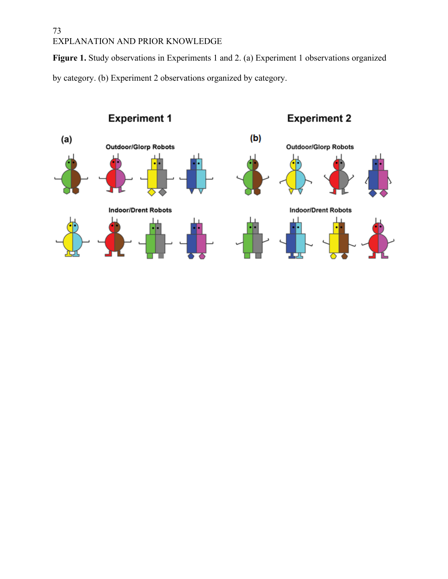## 73 EXPLANATION AND PRIOR KNOWLEDGE

Figure 1. Study observations in Experiments 1 and 2. (a) Experiment 1 observations organized by category. (b) Experiment 2 observations organized by category.

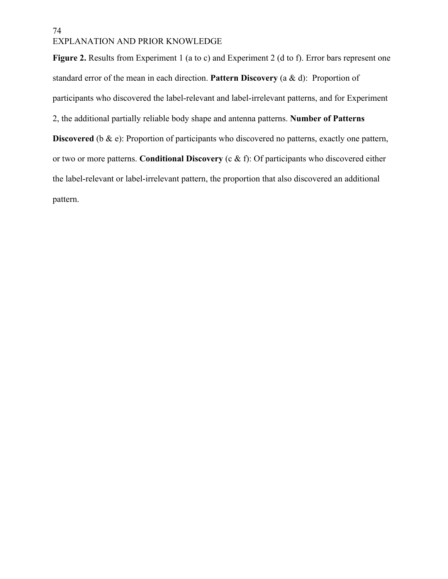**Figure 2.** Results from Experiment 1 (a to c) and Experiment 2 (d to f). Error bars represent one standard error of the mean in each direction. **Pattern Discovery** (a & d): Proportion of participants who discovered the label-relevant and label-irrelevant patterns, and for Experiment 2, the additional partially reliable body shape and antenna patterns. **Number of Patterns Discovered** (b & e): Proportion of participants who discovered no patterns, exactly one pattern, or two or more patterns. **Conditional Discovery** (c & f): Of participants who discovered either the label-relevant or label-irrelevant pattern, the proportion that also discovered an additional pattern.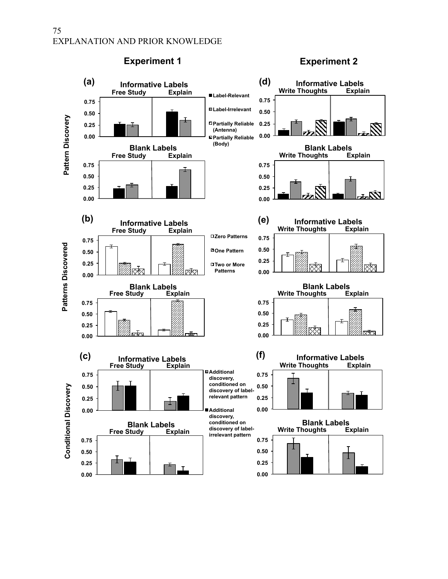## 75 EXPLANATION AND PRIOR KNOWLEDGE

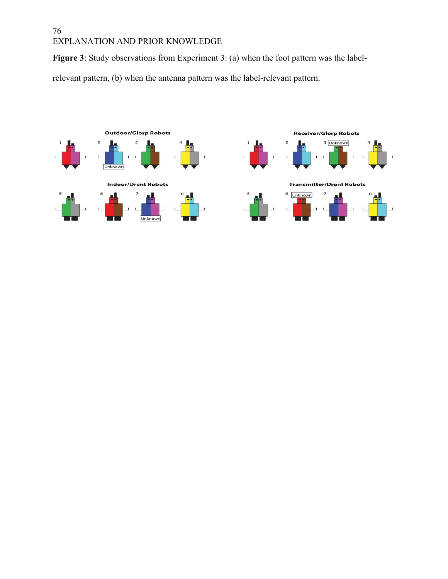## 76 EXPLANATION AND PRIOR KNOWLEDGE

**Figure 3**: Study observations from Experiment 3: (a) when the foot pattern was the label-

relevant pattern, (b) when the antenna pattern was the label-relevant pattern.